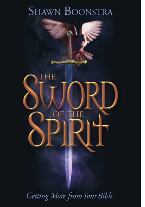# **SHAWN BOONSTRA**

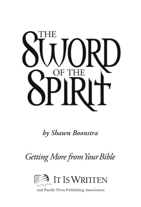

*by Shawn Boonstra*

Getting More from Your Bible



and Pacific Press Publishing Association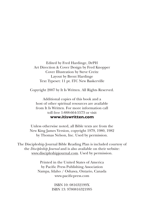Edited by Fred Hardinge, DrPH Art Direction & Cover Design by Fred Knopper Cover Illustration by Steve Creitz Layout by Brent Hardinge Text Typeset: 11 pt. ITC New Baskerville

Copyright 2007 by It Is Written. All Rights Reserved.

Additional copies of this book and a host of other spiritual resources are available from It Is Written. For more information call toll free 1-888-664-5573 or visit **www.itiswritten.com**

Unless otherwise noted, all Bible texts are from the New King James Version, copyright 1979, 1980, 1982 by Thomas Nelson, Inc. Used by permission.

The Discipleship Journal Bible Reading Plan is included courtesy of the *Discipleship Journal* and is also available on their website: www.discipleshipjournal.com. Used by permission.

> Printed in the United States of America by Pacific Press Publishing Association Nampa, Idaho / Oshawa, Ontario, Canada www.pacificpress.com

> > ISBN 10: 081632199X ISBN 13: 9780816321995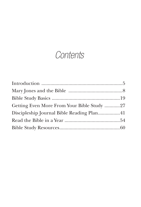# *Contents*

| Getting Even More From Your Bible Study 27 |  |
|--------------------------------------------|--|
| Discipleship Journal Bible Reading Plan41  |  |
|                                            |  |
|                                            |  |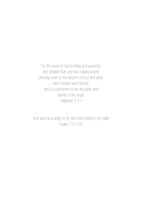*For the word of God is living and powerful, and sharper than any two-edged sword, piercing even to the division of soul and spirit, and of joints and marrow, and is a discerner of the thoughts and intents of the heart. Hebrews 4:12*

*Your word is a lamp to my feet And a light to my path. Psalm 119:105*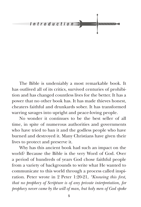

The Bible is undeniably a most remarkable book. It has outlived all of its critics, survived centuries of prohibition and has changed countless lives for the better. It has a power that no other book has. It has made thieves honest, cheaters faithful and drunkards sober. It has transformed warring savages into upright and peace-loving people.

No wonder it continues to be the best seller of all time, in spite of numerous authorities and governments who have tried to ban it and the godless people who have burned and destroyed it. Many Christians have given their lives to protect and preserve it.

Why has this ancient book had such an impact on the world? Because the Bible is the very Word of God. Over a period of hundreds of years God chose faithful people from a variety of backgrounds to write what He wanted to communicate to this world through a process called inspiration. Peter wrote in 2 Peter 1:20-21, *"Knowing this first, that no prophecy of Scripture is of any private interpretation, for prophecy never came by the will of man, but holy men of God spoke*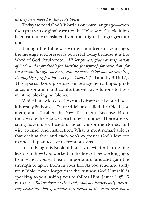## *as they were moved by the Holy Spirit."*

Today we read God's Word in our own language—even though it was originally written in Hebrew or Greek, it has been carefully translated from the original languages into ours.

Though the Bible was written hundreds of years ago, the message it expresses is powerful today because it is the Word of God. Paul wrote, *"All Scripture is given by inspiration of God, and is profitable for doctrine, for reproof, for correction, for instruction in righteousness, that the man of God may be complete, thoroughly equipped for every good work"* (2 Timothy 3:16-17). This special book provides encouragement, hope, guidance, inspiration and comfort as well as solutions to life's most perplexing problems.

While it may look to the casual observer like one book, it is really 66 books—39 of which are called the Old Testament, and 27 called the New Testament. Because 44 authors wrote these books, each one is unique. There are exciting adventures, beautiful poetry, inspiring stories, and wise counsel and instruction. What is most remarkable is that each author and each book expresses God's love for us and His plan to save us from our sins.

In studying this Book of books you will find intriguing lessons in how God worked in the lives of people long ago, from which you will learn important truths and gain the strength to apply them in your life. As you read and study your Bible, never forget that the Author, God Himself, is speaking to you, asking you to follow Him. James 1:22-25 entreats, *"But be doers of the word, and not hearers only, deceiving yourselves. For if anyone is a hearer of the word and not a*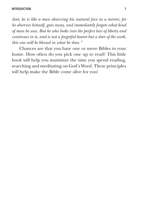*doer, he is like a man observing his natural face in a mirror; for he observes himself, goes away, and immediately forgets what kind of man he was. But he who looks into the perfect law of liberty and continues in it, and is not a forgetful hearer but a doer of the work, this one will be blessed in what he does."*

Chances are that you have one or more Bibles in your home. How often do you pick one up to read? This little book will help you maximize the time you spend reading, searching and meditating on God's Word. These principles will help make the Bible come alive for you!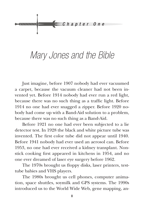*C h a p t e r O n e*  $W\rightarrow W$ 

# *Mary Jones and the Bible*

Just imagine, before 1907 nobody had ever vacuumed a carpet, because the vacuum cleaner had not been invented yet. Before 1914 nobody had ever run a red light, because there was no such thing as a traffic light. Before 1914 no one had ever snagged a zipper. Before 1920 nobody had come up with a Band-Aid solution to a problem, because there was no such thing as a Band-Aid.

Before 1921 no one had ever been subjected to a lie detector test. In 1928 the black and white picture tube was invented. The first color tube did not appear until 1940. Before 1941 nobody had ever used an aerosol can. Before 1953, no one had ever received a kidney transplant. Nonstick cooking first appeared in kitchens in 1954, and no one ever dreamed of laser eye surgery before 1962.

The 1970s brought us floppy disks, laser printers, testtube babies and VHS players.

The 1980s brought us cell phones, computer animation, space shuttles, soymilk and GPS systems. The 1990s introduced us to the World Wide Web, gene mapping, an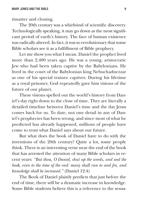timatter and cloning.

The 20th century was a whirlwind of scientific discovery. Technologically speaking, it may go down as the most significant period of earth's history. The face of human existence was radically altered. In fact, it was so revolutionary that some Bible scholars see it as a fulfillment of Bible prophecy.

Let me show you what I mean. Daniel the prophet lived more than 2,400 years ago. He was a young, aristocratic Jew who had been taken captive by the Babylonians. He lived in the court of the Babylonian king Nebuchadnezzar as one of his special trainee captives. During his lifetime as a royal prisoner, God repeatedly gave him visions of the future of our planet.

These visions spelled out the world's history from Daniel's day right down to the close of time. They are literally a detailed timeline between Daniel's time and the day Jesus comes back for us. To date, not one detail in any of Daniel's prophecies has been wrong, and since most of what he predicted has already happened, millions of people have come to trust what Daniel says about our future.

But what does the book of Daniel have to do with the inventions of the 20th century? Quite a lot, some people think. There is an interesting verse near the end of the book that has arrested the attention of many Bible scholars in recent years: *"But thou, O Daniel, shut up the words, and seal the*  book, even to the time of the end: many shall run to and fro, and *knowledge shall be increased."* (Daniel 12:4)

The Book of Daniel plainly predicts that just before the end of time, there will be a dramatic increase in knowledge. Some Bible students believe this is a reference to the sensa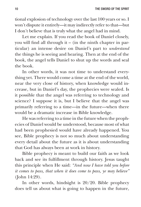10 THE SWORD OF THE SPIRIT

tional explosion of technology over the last 100 years or so. I won't dispute it entirely—it may indirectly refer to that—but I don't believe that is truly what the angel had in mind.

Let me explain. If you read the book of Daniel closely, you will find all through it – (in the ninth chapter in particular) an intense desire on Daniel's part to *understand* the things he is seeing and hearing. Then at the end of the book, the angel tells Daniel to shut up the words and seal the book.

In other words, it was not time to understand everything yet. There would come a time at the end of the world, near the very close of history, when knowledge would increase, but in Daniel's day, the prophecies were sealed. Is it possible that the angel was referring to technology and science? I suppose it is, but I believe that the angel was primarily referring to a time—in the future—when there would be a dramatic increase in Bible knowledge.

He was referring to a time in the future when the prophecies of Daniel would be understood, because most of what had been prophesied would have already happened. You see, Bible prophecy is not so much about understanding every detail about the future as it is about understanding that God has always been at work in history.

Bible prophecy is meant to build our faith as we look back and see its fulfillment through history. Jesus taught this principle when He said: *"And now I have told you before it comes to pass, that when it does come to pass, ye may believe"*  (John 14:29).

In other words, hindsight is 20/20. Bible prophecy does tell us about what is going to happen in the future,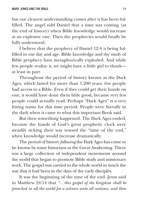but our clearest understanding comes after it has been fulfilled. The angel told Daniel that a time was coming (at the end of history) when Bible knowledge would increase at an explosive rate. Then the prophecies would finally be fully understood.

I believe that the prophecy of Daniel 12:4 *is* being fulfilled in our day and age. Bible knowledge and the study of Bible prophecy have metaphorically exploded. And while few people realize it, we might have a little girl to thank at least in part.

Throughout the period of history known as the Dark Ages, which lasted for more than 1,200 years, few people had access to a Bible. Even if they could get their hands on one, it would have done them little good, because very few people could actually read. Perhaps "Dark Ages" is a very fitting name for this time period. People were literally in the dark when it came to what this important Book said.

But then something happened. The Dark Ages ended, because the hands of God's great prophetic clock were steadily ticking their way toward the "time of the end," when knowledge would increase dramatically.

The period of history *following* the Dark Ages has come to be known by some historians as the Great Awakening. There was a large collection of independent movements around the world that began to promote Bible study and missionary work. The gospel was carried to the whole world in much the way that it had been in the days of the early disciples.

It was the beginning of the time of the end. Jesus said in Matthew 24:14 that *"…this gospel of the kingdom shall be preached in all the world for a witness unto all nations; and then*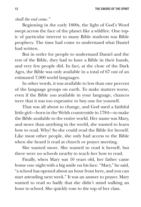12 THE SWORD OF THE SPIRIT

*shall the end come."*

Beginning in the early 1800s, the light of God's Word swept across the face of the planet like a wildfire. One topic of particular interest to many Bible students was Bible prophecy. The time had come to understand what Daniel had written.

But in order for people to understand Daniel and the rest of the Bible, they had to have a Bible in their hands, and very few people did. In fact, at the close of the Dark Ages, the Bible was only available in a total of 67 out of an estimated 7,000 world languages.

In other words, it was available to less than one percent of the language groups on earth. To make matters worse, even if the Bible *was* available in your language, chances were that it was too expensive to buy one for yourself.

That was all about to change, and God used a faithful little girl—born in the Welsh countryside in 1784—to make the Bible available to the entire world. Her name was Mary, and more than anything in the world, she wanted to learn how to read. Why? So she could read the Bible for herself. Like most other people, she only had access to the Bible when she heard it read at church or prayer meeting.

She wanted more. She wanted to read it herself, but there were no schools nearby to teach her how to read.

Finally, when Mary was 10 years old, her father came home one night with a big smile on his face. "Mary," he said, "a school has opened about an hour from here, and you can start attending next week." It was an answer to prayer. Mary wanted to read so badly that she didn't mind walking an hour to school. She quickly rose to the top of her class.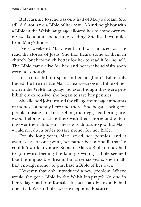But learning to read was only half of Mary's dream. She still did not have a Bible of her own. A kind neighbor with a Bible in the Welsh language allowed her to come over every weekend and spend time reading. She lived two miles from Mary's house.

Every weekend Mary went and was amazed as she read the stories of Jesus. She had heard some of them in church, but how much better for her to read it for herself. The Bible came alive for her, and her weekend visits soon were not enough.

In fact, each hour spent in her neighbor's Bible only fueled the fire in little Mary's heart—to own a Bible of her own in the Welsh language. So even though they were prohibitively expensive, she began to save her pennies.

She did odd jobs around the village for meager amounts of money—a penny here and there. She began sewing for people, raising chickens, selling their eggs, gathering firewood, helping local mothers with their chores and watching over their children. There was almost no job that Mary would not do in order to save money for her Bible.

For six long years, Mary saved her pennies, and it wasn't easy. At one point, her father became so ill that he couldn't work anymore. Some of Mary's Bible money had to go toward feeding the family. Owning a Bible seemed like the impossible dream, but after six years, she finally had enough money to purchase a Bible of her own.

However, that only introduced a new problem. Where would she get a Bible in the Welsh language? No one in her village had one for sale. In fact, hardly anybody had one at all. Welsh Bibles were exceptionally scarce.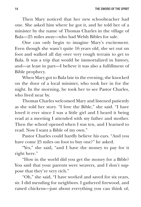14 THE SWORD OF THE SPIRIT

Then Mary noticed that her new schoolteacher had one. She asked him where he got it, and he told her of a minister by the name of Thomas Charles in the village of Bala—25 miles away—who had Welsh Bibles for sale.

One can only begin to imagine Mary's excitement. Even though she wasn't quite 16 years old, she set out on foot and walked all day over very rough terrain to get to Bala. It was a trip that would be immortalized in history, and—at least in part—I believe it was also a fulfillment of Bible prophecy.

When Mary got to Bala late in the evening, she knocked on the door of a local minister, who took her in for the night. In the morning, he took her to see Pastor Charles, who lived near by.

Thomas Charles welcomed Mary and listened patiently as she told her story. "I love the Bible," she said. "I have loved it ever since I was a little girl and I heard it being read at a meeting I attended with my father and mother. Then the school opened when I was ten, and I learned to read. Now I want a Bible of my own."

Pastor Charles could hardly believe his ears. "And you have come 25 miles on foot to buy one?" he asked.

"Yes," she said, "and I have the money to pay for it right here."

"How in the world did you get the money for a Bible? You said that your parents were weavers, and I don't suppose that they're very rich."

"Oh," she said, "I have worked and saved for six years, sir. I did mending for neighbors. I gathered firewood, and raised chickens—just about everything you can think of,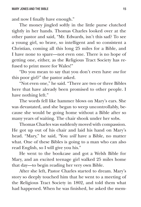and now I finally have enough."

The money jingled softly in the little purse clutched tightly in her hands. Thomas Charles looked over at the other pastor and said, "Mr. Edwards, isn't this sad? To see a young girl, so brave, so intelligent and so consistent a Christian, coming all this long 25 miles for a Bible, and I have none to spare—not even one. There is no hope of getting one, either, as the Religious Tract Society has refused to print more for Wales!"

"Do you mean to say that you don't even have *one* for this poor girl?" the pastor asked.

"Not even one," he said. "There are two or three Bibles here that have already been promised to other people. I have nothing left."

The words fell like hammer blows on Mary's ears. She was devastated, and she began to weep uncontrollably, because she would be going home without a Bible after so many years of waiting. The chair shook under her sobs.

Thomas Charles was suddenly moved with compassion. He got up out of his chair and laid his hand on Mary's head. "Mary," he said, "You *will* have a Bible, no matter what. One of these Bibles is going to a man who can also read English, so I will give you his."

He went to the bookcase and got a Welsh Bible for Mary, and an excited teenage girl walked 25 miles home that day—to begin reading her very own Bible.

After she left, Pastor Charles started to dream. Mary's story so deeply touched him that he went to a meeting of the Religious Tract Society in 1802, and told them what had happened. When he was finished, he asked the mem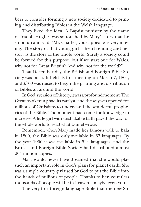16 THE SWORD OF THE SPIRIT

bers to consider forming a new society dedicated to printing and distributing Bibles in the Welsh language.

They liked the idea. A Baptist minister by the name of Joseph Hughes was so touched by Mary's story that he stood up and said, "Mr. Charles, your appeal was very moving. The story of that young girl is heart-rending and her story is the story of the whole world. Surely a society could be formed for this purpose, but if we start one for Wales, why not for Great Britain? And why not for the world?"

That December day, the British and Foreign Bible Society was born. It held its first meeting on March 7, 1804, and £700 was raised to begin the printing and distribution of Bibles all around the world.

In God's version of history, it was a profound moment. The Great Awakening had its catalyst, and the way was opened for millions of Christians to understand the wonderful prophecies of the Bible. The moment had come for knowledge to increase. A little girl with unshakable faith paved the way for the whole world to read what Daniel wrote.

Remember, when Mary made her famous walk to Bala in 1800, the Bible was only available in 67 languages. By the year 1900 it was available in 524 languages, and the British and Foreign Bible Society had distributed almost 204 million copies.

Mary would never have dreamed that she would play such an important role in God's plans for planet earth. She was a simple country girl used by God to put the Bible into the hands of millions of people. Thanks to her, countless thousands of people will be in heaven—maybe even you.

The very first foreign language Bible that the new So-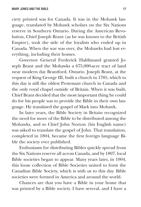ciety printed was for Canada. It was in the Mohawk language, translated by Mohawk scholars on the Six Nations reserve in Southern Ontario. During the American Revolution, Chief Joseph Brant (as he was known to the British Empire), took the side of the loyalists who ended up in Canada. When the war was over, the Mohawks had lost everything, including their homes.

Governor General Frederick Haldimand granted Joseph Brant and the Mohawks a 675,000-acre tract of land near modern day Brantford, Ontario. Joseph Brant, at the request of King George III, built a church in 1785, which to this day is still the oldest Protestant church in Canada and the only royal chapel outside of Britain. When it was built, Chief Brant decided that the most important thing he could do for his people was to provide the Bible in their own language. He translated the gospel of Mark into Mohawk.

In later years, the Bible Society in Britain recognized the need for more of the Bible to be distributed among the Mohawks, and so Chief John Norton (his English name) was asked to translate the gospel of John. That translation, completed in 1804, became the first foreign language Bible the society ever published.

Enthusiasm for distributing Bibles quickly spread from the Six Nations reserve all across Canada, and by 1807, local Bible societies began to appear. Many years later, in 1904, this loose collection of Bible Societies united to form the Canadian Bible Society, which is with us to this day. Bible societies were formed in America and around the world.

Chances are that you have a Bible in your home that was printed by a Bible society. I have several, and I have a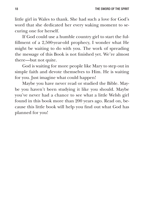little girl in Wales to thank. She had such a love for God's word that she dedicated her every waking moment to securing one for herself.

If God could use a humble country girl to start the fulfillment of a 2,500-year-old prophecy, I wonder what He might be waiting to do with you. The work of spreading the message of this Book is not finished yet. We're almost there—but not quite.

God is waiting for more people like Mary to step out in simple faith and devote themselves to Him. He is waiting for you. Just imagine what could happen!

Maybe you have never read or studied the Bible. Maybe you haven't been studying it like you should. Maybe you've never had a chance to see what a little Welsh girl found in this book more than 200 years ago. Read on, because this little book will help you find out what God has planned for you!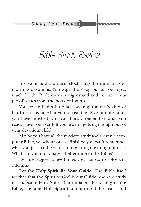*C h a p t e r T w o* $\sqrt{111111111}$ 

# *Bible Study Basics*

It's 5 a.m. and the alarm clock rings. It's time for your morning devotions. You wipe the sleep out of your eyes, reach for the Bible on your nightstand and peruse a couple of verses from the book of Psalms.

You got to bed a little late last night and it's kind of hard to focus on what you're reading. Five minutes after you have finished, you can hardly remember what you read. Have you ever felt you are not getting enough out of your devotional life?

Maybe you have all the modern study tools, even a computer Bible, yet when you are finished you can't remember what you just read. You are not getting anything out of it. What can you do to have a better time in the Bible?

Let me suggest a few things you can do to solve this dilemma!

**Let the Holy Spirit Be Your Guide.** The Bible itself teaches that the Spirit of God is our Guide when we study it. The same Holy Spirit that initiated the writing of the Bible, the same Holy Spirit that impressed the hearts and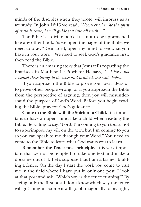20 THE SWORD OF THE SPIRIT

minds of the disciples when they wrote, will impress us as we study! In John 16:13 we read, *"However when he the spirit of truth is come, he will guide you into all truth…"*

The Bible is a divine book. It is not to be approached like any other book. As we open the pages of the Bible, we need to pray, "Dear Lord, open my mind to see what you have in your word." We need to seek God's guidance first, then read the Bible.

There is an amazing story that Jesus tells regarding the Pharisees in Matthew 11:25 where He says, *"…I have not revealed these things to the wise and prudent, but unto babes."*

If you approach the Bible to prove your own ideas or to prove other people wrong, or if you approach the Bible from the perspective of arguing, then you will misunderstand the purpose of God's Word. Before you begin reading the Bible, pray for God's guidance.

**Come to the Bible with the Spirit of a Child.** It is important to have an open mind like a child when reading the Bible. Be willing to say, "Lord, I'm coming to you today, not to superimpose my will on the text, but I'm coming to you so you can speak to me through your Word." You need to come to the Bible to learn what God wants you to learn.

**Remember the fence post principle.** It is very important that we not be tempted to take one text and make a doctrine out of it. Let's suppose that I am a farmer building a fence. On the day I start the work you come to visit me in the field where I have put in only one post. I look at that post and ask, "Which way is the fence running?" By seeing only the first post I don't know which way the fence will go! I might assume it will go off diagonally to my right,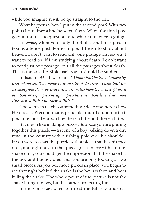while you imagine it will be go straight to the left.

What happens when I put in the second post? With two points I can draw a line between them. When the third post goes in there is no question as to where the fence is going.

Likewise, when you study the Bible, you line up each text as a fence post. For example, if I wish to study about heaven, I don't want to read only one passage on heaven, I want to read 50. If I am studying about death, I don't want to read just one passage, but all the passages about death. This is the way the Bible itself says it should be studied.

In Isaiah 28:9-10 we read, *"Whom shall he teach knowledge and whom shall he make to understand doctrine. Them that are weaned from the milk and drawn from the breast. For precept must be upon precept, precept upon precept, line upon line, line upon line, here a little and there a little."*

God wants to teach you something deep and here is how He does it. Precept, that is principle, must be upon principle. Line must be upon line, here a little and there a little.

It is much like making a puzzle. Suppose you are putting together this puzzle — a scene of a boy walking down a dirt road in the country with a fishing pole over his shoulder. If you were to start the puzzle with a piece that has his foot on it, and right next to that piece goes a piece with a rattlesnake on it, you could get the impression that the snake bit the boy and the boy died. But you are only looking at two small pieces. As you put more pieces in place, you begin to see that right behind the snake is the boy's father, and he is killing the snake. The whole point of the picture is not the snake biting the boy, but his father protecting him.

In the same way, when you read the Bible, you take as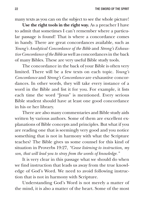22 THE SWORD OF THE SPIRIT

many texts as you can on the subject to see the whole picture!

**Use the right tools in the right way.** As a preacher I have to admit that sometimes I can't remember where a particular passage is found! That is where a concordance comes in handy. There are great concordances available, such as *Young's Analytical Concordance of the Bible* and *Strong's Exhaustive Concordance of the Bible* as well as concordances in the back of many Bibles. These are very useful Bible study tools.

The concordance in the back of your Bible is often very limited. There will be a few texts on each topic. *Young's Concordance* and *Strong's Concordance* are exhaustive concordances. In other words, they will take every instance of a word in the Bible and list it for you. For example, it lists each time the word "Jesus" is mentioned. Every serious Bible student should have at least one good concordance in his or her library.

There are also many commentaries and Bible study aids written by various authors. Some of them are excellent explanations of Bible concepts and principles. But what if you are reading one that is seemingly very good and you notice something that is not in harmony with what the Scripture teaches? The Bible gives us some counsel for this kind of situation in Proverbs 19:27, *"Cease listening to instruction, my son, that will lead you to stray from the words of knowledge."*

It is very clear in this passage what we should do when we find instruction that leads us away from the true knowledge of God's Word. We need to avoid following instruction that is not in harmony with Scripture.

Understanding God's Word is not merely a matter of the mind, it is also a matter of the heart. Some of the most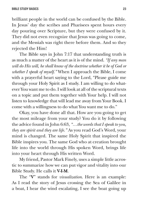brilliant people in the world can be confused by the Bible. In Jesus' day the scribes and Pharisees spent hours every day pouring over Scripture, but they were confused by it. They did not even recognize that Jesus was going to come, and the Messiah was right there before them. And so they rejected the Him!

The Bible says in John 7:17 that understanding truth is as much a matter of the heart as it is of the mind. *"If any man will do His will, he shall know of the doctrine whether it be of God or whether I speak of myself."* When I approach the Bible, I come with a prayerful heart saying to the Lord, "Please guide me through your Holy Spirit as I study. I am willing to do whatever You want me to do. I will look at all of the scriptural texts on a topic and put them together with Your help. I will not listen to knowledge that will lead me away from Your Book. I come with a willingness to do what You want me to do."

Okay, you have done all that. How are you going to get the most mileage from your study? You do it by following the advice found in John 6:63, *"…the words that I speak to you, they are spirit and they are life."* As you read God's Word, your mind is changed. The same Holy Spirit that inspired the Bible inspires you. The same God who at creation brought life into the world through His spoken Word, brings life into your heart through His written Word.

My friend, Pastor Mark Finely, uses a simple little acrostic to summarize how we can put vigor and vitality into our Bible Study. He calls it **V-I-M**.

The "**V**" stands for *visualization*. Here is an example: As I read the story of Jesus crossing the Sea of Galilee in a boat, I hear the wind escalating, I see the boat going up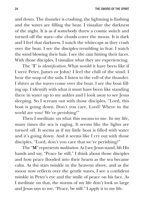and down. The thunder is crashing, the lightning is flashing and the waves are filling the boat. I visualize the darkness of the night. It is as if somebody threw a cosmic switch and turned off the stars—the clouds cover the moon. It is dark and I feel that darkness. I watch the whitecaps as they crash over the boat. I see the disciples trembling in fear. I watch the wind blowing their hair. I see the rain hitting their faces. With those disciples, I visualize what they are experiencing.

The "**I**" is *identification*. What would it have been like if I were Peter, James or John? I feel the chill of the wind. I hear the snap of the sails. I listen to the roll of the thunder. I shiver as the waves come over the boat. I see the boat filling up. I identify with what it must have been like standing there in water up to my ankles and I look away to see Jesus sleeping. So I scream out with those disciples, "Lord, this boat is going down. Don't you care, Lord? Where in the world are you? We're perishing!"

Then I meditate on what this means to me. In my life, many times the sea is raging. It seems like the lights are turned off. It seems as if my little boat is filled with water and it's going down. And it seems like I cry out with those disciples, "Lord, don't you care that we're perishing?"

The "**M**" represents *meditation*. As I see Jesus stand, lift His hands and say, "Peace be still," I think about those disciples and how peace flooded into their hearts as the sea became calm. As the stars twinkle in the heavens above, and as the moon now reflects over the gentle waves, I see a confident twinkle in Peter's eye and the smile of peace on his face. As I meditate on that, the storms of my life don't look so large and Jesus says to me, "Peace, be still." I apply it to my life.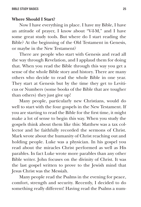### **Where Should I Start?**

Now I have everything in place. I have my Bible, I have an attitude of prayer, I know about "V-I-M," and I have some great study tools. But where do I start reading the Bible? At the beginning of the Old Testament in Genesis, or maybe in the New Testament?

There are people who start with Genesis and read all the way through Revelation, and I applaud them for doing that. When you read the Bible through this way you get a sense of the whole Bible story and history. There are many others who decide to read the whole Bible in one year. They start at Genesis but by the time they get to Leviticus or Numbers (some books of the Bible that are tougher than others) they just give up!

Many people, particularly new Christians, would do well to start with the four gospels in the New Testament. If you are starting to read the Bible for the first time, it might make a lot of sense to begin this way. When you study the gospels think about them like this: Matthew was a tax collector and he faithfully recorded the sermons of Christ. Mark wrote about the humanity of Christ reaching out and holding people. Luke was a physician. In his gospel you read about the miracles Christ performed as well as His parables. In fact Luke wrote more parables than any other Bible writer. John focuses on the divinity of Christ. It was the last gospel written to prove to the Jewish mind that Jesus Christ was the Messiah.

Many people read the Psalms in the evening for peace, comfort, strength and security. Recently, I decided to do something really different! Having read the Psalms a num-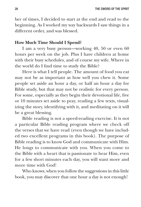ber of times, I decided to start at the end and read to the beginning. As I worked my way backwards I saw things in a different order, and was blessed.

### **How Much Time Should I Spend?**

I am a very busy person—working 40, 50 or even 60 hours per week on the job. Plus I have children at home with their busy schedules, and of course my wife. Where in the world do I find time to study the Bible?

Here is what I tell people. The amount of food you eat may not be as important as how well you chew it. Some people set aside an hour a day, or half an hour a day for Bible study, but that may not be realistic for every person. For some, especially as they begin their devotional life, five or 10 minutes set aside to pray, reading a few texts, visualizing the story, identifying with it, and meditating on it will be a great blessing.

Bible reading is not a speed-reading exercise. It is not a particular Bible reading program where we check off the verses that we have read (even though we have included two excellent programs in this book). The purpose of Bible reading is to know God and communicate with Him. He longs to communicate with you. When you come to the Bible with a heart that is passionate to hear Him, even for a few short minutes each day, you will want more and more time with God!

Who knows, when you follow the suggestions in this little book, you may discover that one hour a day is not enough!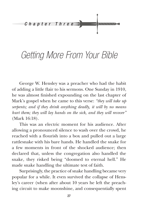

# *Getting More From Your Bible*

George W. Hensley was a preacher who had the habit of adding a little flair to his sermons. One Sunday in 1910, he was almost finished expounding on the last chapter of Mark's gospel when he came to this verse: *"they will take up serpents; and if they drink anything deadly, it will by no means hurt them; they will lay hands on the sick, and they will recover"* (Mark 16:18).

This was an electric moment for his audience. After allowing a pronounced silence to wash over the crowd, he reached with a flourish into a box and pulled out a large rattlesnake with his bare hands. He handled the snake for a few moments in front of the shocked audience; then declared that, unless the congregation also handled the snake, they risked being "doomed to eternal hell." He made snake handling the ultimate test of faith.

Surprisingly, the practice of snake handling became very popular for a while. It even survived the collapse of Hensley's career (when after about 10 years he left the preaching circuit to make moonshine, and consequentially spent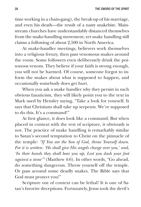time working in a chain-gang), the break-up of his marriage, and even his death—the result of a nasty snakebite. Mainstream churches have understandably distanced themselves from the snake-handling movement, yet snake handling still claims a following of about 2,500 in North America.

At snake-handler meetings, believers work themselves into a religious frenzy, then pass venomous snakes around the room. Some followers even deliberately drink the poisonous venom. They believe if your faith is strong enough, you will not be harmed. Of course, someone forgot to inform the snakes about what is supposed to happen, and occasionally somebody does get hurt.

When you ask a snake handler why they persist in such obvious fanaticism, they will likely point you to the text in Mark used by Hensley saying, "Take a look for yourself. It says that Christians shall take up serpents. We're supposed to do this. It's a command!"

At first glance, it does look like a command. But when placed in context with the rest of scripture, it obviously is not. The practice of snake handling is remarkably similar to Satan's second temptation to Christ on the pinnacle of the temple: *"If You are the Son of God, throw Yourself down. For it is written: 'He shall give His angels charge over you,' and, 'In their hands they shall bear you up, Lest you dash your foot against a stone'"* (Matthew 4:6). In other words, "Go ahead, do something dangerous. Throw yourself off the temple. Or pass around some deadly snakes. The Bible says that God must protect you!"

Scripture out of context can be lethal! It is one of Satan's favorite deceptions. Fortunately, Jesus took the devil's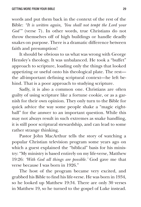words and put them back in the context of the rest of the Bible: *"It is written again, 'You shall not tempt the Lord your God'"* (verse 7). In other words, true Christians do not throw themselves off of high buildings or handle deadly snakes on purpose. There is a dramatic difference between faith and presumption!

It should be obvious to us what was wrong with George Hensley's theology. It was unbalanced. He took a "buffet" approach to scripture, loading only the things that looked appetizing or useful onto his theological plate. The rest the all-important defining scriptural context—he left behind. That is a poor approach to studying scripture.

Sadly, it is also a common one. Christians are often guilty of using scripture like a fortune cookie, or as a garnish for their own opinion. They only turn to the Bible for quick advice the way some people shake a "magic eightball" for the answer to an important question. While this may not always result in such extremes as snake handling, it is still poor scriptural stewardship, and can lead to some rather strange thinking.

Pastor John MacArthur tells the story of watching a popular Christian television program some years ago on which a guest explained the "biblical" basis for his ministry: "My ministry is based entirely on my life-verse, Matthew 19:26: *'With God all things are possible.'* God gave me that verse because I was born in 1926."

The host of the program became very excited, and grabbed his Bible to find his life-verse. He was born in 1934, so he looked up Matthew 19:34. There are only 30 verses in Matthew 19, so he turned to the gospel of Luke instead.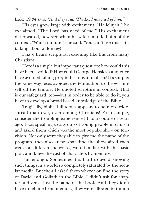Luke 19:34 says, *"And they said, 'The Lord has need of him.'"*

His eyes grew large with excitement. "Hallelujah!" he exclaimed. "The Lord has need of me!" His excitement disappeared, however, when his wife reminded him of the context: "Wait a minute!" she said. "You can't use this—it's talking about a donkey!"

I have heard scriptural reasoning like this from many Christians.

Here is a simple but important question: how could this have been avoided? How could George Hensley's audience have avoided falling prey to his sensationalism? It's simple: the same way Jesus avoided the temptation to throw Himself off the temple. He quoted scripture in context. That is our safeguard, too—but in order to be able to do it, you have to develop a broad-based knowledge of the Bible.

Tragically, biblical illiteracy appears to be more widespread than ever, even among Christians! For example, consider the troubling experience I had a couple of years ago. I was speaking to a group of young people in church and asked them which was the most popular show on television. Not only were they able to give me the name of the program, they also knew what time the show aired each week on different networks, were familiar with the basic plot, and knew the cast of characters by memory.

Fair enough. Sometimes it is hard to avoid knowing such things in a world so completely saturated by the secular media. But then I asked them where you find the story of David and Goliath in the Bible. I didn't ask for chapter and verse, just the name of the book. And they didn't have to tell me from memory; they were allowed to thumb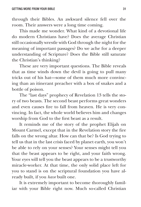through their Bibles. An awkward silence fell over the room. Their answers were a long time coming.

This made me wonder. What kind of a devotional life do modern Christians have? Does the average Christian still occasionally wrestle with God through the night for the meaning of important passages? Do we ache for a deeper understanding of Scripture? Does the Bible still saturate the Christian's thinking?

These are very important questions. The Bible reveals that as time winds down the devil is going to pull many tricks out of his hat—some of them much more convincing than an itinerant preacher with a box of snakes and a bottle of poison.

The "last days" prophecy of Revelation 13 tells the story of two beasts. The second beast performs great wonders and even causes fire to fall from heaven. He is very convincing. In fact, the whole world believes him and changes worship from God to the first beast as a result.

It reminds me of the story of the prophet Elijah on Mount Carmel, except that in the Revelation story the fire falls on the wrong altar. How can that be? Is God trying to tell us that in the last crisis faced by planet earth, you won't be able to rely on your senses? Your senses might tell you that the beast appears to be right, and your faith wrong. Your eyes will tell you the beast appears to be a trustworthy miracle-worker. At that time, the only solid place left for you to stand is on the scriptural foundation you have already built, if you *have* built one.

It is extremely important to become thoroughly familiar with your Bible right now. Much so-called Christian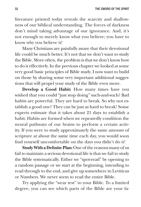literature printed today reveals the scarcity and shallowness of our biblical understanding. The forces of darkness don't mind taking advantage of our ignorance. And, it's not enough to merely know what you believe; you have to know why you believe it!

Many Christians are painfully aware that their devotional life could be much better. It's not that we don't want to study the Bible. More often, the problem is that we don't know how to do it effectively. In the previous chapter we looked at some very good basic principles of Bible study. I now want to build on those by sharing some very important additional suggestions that will propel your study of the Bible even more.

**Develop a Good Habit:** How many times have you wished that you could "just stop doing" such-and-such? Bad habits are powerful. They are hard to break. So why not establish a good one? They can be just as hard to break! Some experts estimate that it takes about 21 days to establish a habit. Habits are formed when we repeatedly condition the neural pathways of our brains to perform a certain activity. If you were to study approximately the same amount of scripture at about the same time each day, you would soon find yourself uncomfortable on the days you didn't do it!

**Study With a Definite Plan:** One of the reasons many of us fail to maintain a serious devotional life is that we fail to study the Bible systematically. Either we "spot-read" by opening to a random passage or we start at the beginning, intending to read through to the end, and give up somewhere in Leviticus or Numbers. We never seem to read the entire Bible.

Try applying the "wear test" to your Bible. To a limited degree, you can see which parts of the Bible are your fa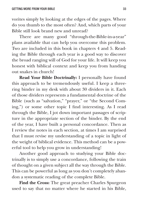vorites simply by looking at the edges of the pages. Where do you thumb to the most often? And, which parts of your Bible still look brand new and unread?

There are many good "through-the-Bible-in-a-year" plans available that can help you overcome this problem. Two are included in this book in chapters 4 and 5. Reading the Bible through each year is a good way to discover the broad ranging will of God for your life. It will keep you honest with biblical context and keep you from handing out snakes in church!

**Read Your Bible Doctrinally:** I personally have found this approach to be tremendously useful. I keep a threering binder in my desk with about 30 dividers in it. Each of those dividers represents a fundamental doctrine of the Bible (such as "salvation," "prayer," or "the Second Coming,") or some other topic I find interesting. As I read through the Bible, I jot down important passages of scripture in the appropriate section of the binder. By the end of the year, I have built a personal concordance. Then as I review the notes in each section, at times I am surprised that I must revise my understanding of a topic in light of the weight of biblical evidence. This method can be a powerful tool to help you grow in understanding!

Another good approach to studying your Bible doctrinally is to simply use a concordance, following the train of thought on a given subject all the way through the Bible. This can be powerful as long as you don't completely abandon a systematic reading of the complete Bible.

**Find the Cross:** The great preacher Charles Spurgeon used to say that no matter where he started in his Bible,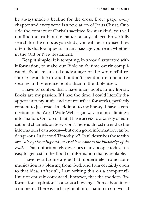34 THE SWORD OF THE SPIRIT

he always made a beeline for the cross. Every page, every chapter and every verse is a revelation of Jesus Christ. Outside the context of Christ's sacrifice for mankind, you will not find the truth of the matter on any subject. Prayerfully search for the cross as you study; you will be surprised how often its shadow appears in any passage you read, whether in the Old or New Testament.

**Keep it simple:** It is tempting, in a world saturated with information, to make our Bible study time overly complicated. By all means take advantage of the wonderful resources available to you, but don't spend more time in resources and reference books than in the Bible itself.

I have to confess that I have many books in my library. Books are my passion. If I had the time, I could literally disappear into my study and not resurface for weeks, perfectly content to just read. In addition to my library, I have a connection to the World Wide Web, a gateway to almost limitless information. On top of that, I have access to a variety of educational channels on television. There is almost no end to the information I can access—but even good information can be dangerous. In Second Timothy 3:7, Paul describes those who are *"always learning and never able to come to the knowledge of the truth."* That unfortunately describes many people today. It is easy to get lost in the flood of information that is available.

I have heard some argue that modern electronic communication is a blessing from God, and I am certainly open to that idea. (After all, I am writing this on a computer!) I'm not entirely convinced, however, that the modern "information explosion" is always a blessing. Think about it for a moment. There is such a glut of information in our world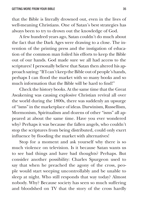that the Bible is literally drowned out, even in the lives of well-meaning Christians. One of Satan's best strategies has always been to try to drown out the knowledge of God.

A few hundred years ago, Satan couldn't do much about the fact that the Dark Ages were drawing to a close. The invention of the printing press and the instigation of education of the common man foiled his efforts to keep the Bible out of our hands. God made sure we all had access to the scriptures! I personally believe that Satan then altered his approach saying: "If I can't keep the Bible out of people's hands, perhaps I can flood the market with so many books and so much information that the Bible will be hard to find!"

Check the history books. At the same time that the Great Awakening was causing explosive Christian revival all over the world during the 1800s, there was suddenly an upsurge of "isms" in the marketplace of ideas. Darwinism, Russellism, Mormonism, Spiritualism and dozens of other "isms" all appeared at about the same time. Have you ever wondered why? Perhaps it was because the fallen angels, who couldn't stop the scriptures from being distributed, could only exert influence by flooding the market with alternatives!

Stop for a moment and ask yourself why there is so much violence on television. Is it because Satan wants us to see bad things and have bad thoughts? Perhaps. But consider another possibility: Charles Spurgeon used to say that when he preached the agony of the cross, people would start weeping uncontrollably and be unable to sleep at night. Who still responds that way today? Almost nobody. Why? Because society has seen so much suffering and bloodshed on TV that the story of the cross hardly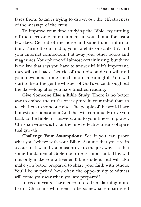fazes them. Satan is trying to drown out the effectiveness of the message of the cross.

To improve your time studying the Bible, try turning off the electronic entertainment in your home for just a few days. Get rid of the noise and superfluous information. Turn off your radio, your satellite or cable TV, and your Internet connection. Put away your other books and magazines. Your phone will almost certainly ring, but there is no law that says you have to answer it! If it's important, they will call back. Get rid of the noise and you will find your devotional time much more meaningful. You will start to hear the gentle whisper of God's voice throughout the day—long after you have finished reading.

**Give Someone Else a Bible Study:** There is no better way to embed the truths of scripture in your mind than to teach them to someone else. The people of the world have honest questions about God that will continually drive you back to the Bible for answers, and to your knees in prayer. Christian witness is by far the most effective means of spiritual growth!

**Challenge Your Assumptions:** See if you can prove what you believe with your Bible. Assume that you are in a court of law and you must prove to the jury why it is that some fundamental Bible doctrine is important. This will not only make you a keener Bible student, but will also make you better prepared to share your faith with others. You'll be surprised how often the opportunity to witness will come your way when you are prepared!

In recent years I have encountered an alarming number of Christians who seem to be somewhat embarrassed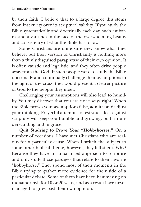by their faith. I believe that to a large degree this stems from insecurity over its scriptural validity. If you study the Bible systematically and doctrinally each day, such embarrassment vanishes in the face of the overwhelming beauty and consistency of what the Bible has to say.

Some Christians are quite sure they know what they believe, but their version of Christianity is nothing more than a thinly disguised paraphrase of their own opinion. It is often caustic and legalistic, and they often drive people away from the God. If such people were to study the Bible doctrinally and continually challenge their assumptions in the light of the cross, they would present a clearer picture of God to the people they meet.

Challenging your assumptions will also lead to humility. You may discover that you are not always right! When the Bible proves your assumptions false, admit it and adjust your thinking. Prayerful attempts to test your ideas against scripture will keep you humble and growing, both in understanding and in grace.

**Quit Studying to Prove Your "Hobbyhorses:"** On a number of occasions, I have met Christians who are zealous for a particular cause. When I switch the subject to some other biblical theme, however, they fall silent. Why? Because they have an unbalanced approach to scripture and only study those passages that relate to their favorite "hobbyhorse." They spend most of their moments in the Bible trying to gather more evidence for their side of a particular debate. Some of them have been hammering on the same anvil for 10 or 20 years, and as a result have never managed to grow past their own opinion.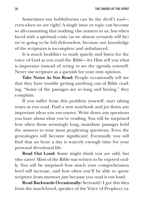Sometimes our hobbyhorses can be the devil's tool even when we are right! A single issue or topic can become so all-consuming that nothing else matters to us, but when faced with a spiritual crisis (as we almost certainly will be) we're going to be left defenseless, because our knowledge of the scriptures is incomplete and unbalanced.

It is much healthier to study quietly and listen for the voice of God as you read the Bible—let Him tell you what is important instead of trying to set the agenda yourself. Never use scripture as a garnish for your own opinion.

**Take Notes As You Read:** People occasionally tell me that they have trouble getting anything out of Bible reading. "Some of the passages are so long and boring," they complain.

If you suffer from this problem yourself, start taking notes as you read. Find a new notebook and jot down any important ideas you encounter. Write down any questions you have about what you're reading. You will be surprised how often those seemingly long, mundane passages hold the answers to your most perplexing questions. Even the genealogies will become significant! Eventually you will find that an hour a day is scarcely enough time for your personal devotional life.

**Read Out Loud:** Some might think you are odd, but who cares? Most of the Bible was written to be enjoyed orally. You will be surprised how much your comprehension level will increase, and how often you'll be able to quote scripture from memory just because you read it out loud.

**Read Backwards Occasionally:** Seriously! I got this idea from the much-loved, speaker of the Voice of Prophecy ra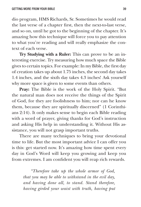dio program, HMS Richards, Sr. Sometimes he would read the last verse of a chapter first, then the next-to-last verse, and so on, until he got to the beginning of the chapter. It's amazing how this technique will force you to pay attention to what you're reading and will really emphasize the context of each verse.

**Try Studying with a Ruler:** This can prove to be an interesting exercise. Try measuring how much space the Bible gives to certain topics. For example: In my Bible, the first day of creation takes up about 1.75 inches, the second day takes 1.4 inches, and the sixth day takes 4.3 inches! Ask yourself why more space is given to some events than others.

**Pray:** The Bible is the work of the Holy Spirit. "But the natural man does not receive the things of the Spirit of God, for they are foolishness to him; nor can he know them, because they are spiritually discerned" (1 Corinthians 2:14). It only makes sense to begin each Bible reading with a word of prayer, giving thanks for God's instruction and asking His help in understanding it. Without His assistance, you will not grasp important truths.

There are many techniques to bring your devotional time to life. But the most important advice I can offer you is this: get started now. It's amazing how time spent every day in God's Word will keep you growing and keep you from extremes. I am confident you will reap rich rewards.

*"Therefore take up the whole armor of God, that you may be able to withstand in the evil day, and having done all, to stand. Stand therefore, having girded your waist with truth, having put*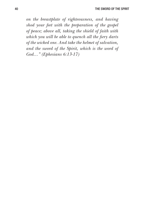*on the breastplate of righteousness, and having shod your feet with the preparation of the gospel of peace; above all, taking the shield of faith with which you will be able to quench all the fiery darts of the wicked one. And take the helmet of salvation, and the sword of the Spirit, which is the word of God…" (Ephesians 6:13-17)*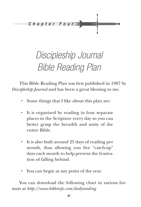

# *Discipleship Journal Bible Reading Plan*

This Bible Reading Plan was first published in 1987 by *Discipleship Journal* and has been a great blessing to me.

- Some things that I like about this plan are: •
- It is organized by reading in four separate places in the Scripture every day so you can better grasp the breadth and unity of the entire Bible.
- It is also built around 25 days of reading per month, thus allowing you five "catch-up" days each month to help prevent the frustration of falling behind.
- You can begin at any point of the year. •

You can download the following chart in various formats at *http://www.bibleinfo.com/dailyreading*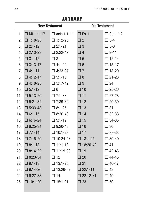|     |                   | New Testament      | <b>Old Testament</b> |                 |
|-----|-------------------|--------------------|----------------------|-----------------|
| 1.  | $\Box$ Mt. 1:1-17 | $\Box$ Acts 1:1-11 | $\Box$ Ps. 1         | $\Box$ Gen. 1-2 |
| 2.  | $\Box$ 1:18-25    | $\Box$ 1:12-26     | $\square$ 2          | $\Box$ 3-4      |
| 3.  | $\Box$ 2:1-12     | $\Box$ 2:1-21      | $\Box$ 3             | $\square$ 5-8   |
| 4.  | $\Box$ 2:13-23    | $\square$ 2:22-47  | $\Box$ 4             | $\Box$ 9-11     |
| 5.  | $\Box$ 3:1-12     | $\Box$ 3           | $\square$ 5          | $\Box$ 12-14    |
| 6.  | $\Box$ 3:13-17    | $\Box$ 4:1-22      | $\Box$ 6             | $\Box$ 15-17    |
| 7.  | $\Box$ 4:1-11     | $\Box$ 4:23-37     | $\square$ 7          | $\square$ 18-20 |
| 8.  | $\Box$ 4:12-17    | $\Box$ 5:1-16      | $\square$ 8          | $\Box$ 21-23    |
| 9.  | $\Box$ 4:18-25    | $\Box$ 5:17-42     | $\Box$ 9             | □ 24            |
| 10. | $\square$ 5:1-12  | 口 6                | $\square$ 10         | $\square$ 25-26 |
| 11. | $\square$ 5:13-20 | $\Box$ 7:1-38      | $\square$ 11         | $\Box$ 27-28    |
| 12. | $\Box$ 5:21-32    | $\Box$ 7:39-60     | $\Box$ 12            | $\Box$ 29-30    |
| 13. | $\Box$ 5:33-48    | $\Box$ 8:1-25      | $\Box$ 13            | $\square$ 31    |
| 14. | $\Box$ 6:1-15     | $\Box$ 8:26-40     | $\Box$ 14            | $\Box$ 32-33    |
| 15. | $\Box$ 6:16-24    | $\Box$ 9:1-19      | $\square$ 15         | $\Box$ 34-35    |
| 16. | $\Box$ 6:25-34    | $\Box$ 9:20-43     | $\square$ 16         | $\square$ 36    |
| 17. | $\Box$ 7:1-14     | $\Box$ 10:1-23     | $\square$ 17         | $\Box$ 37-38    |
| 18. | $\Box$ 7:15-29    | $\Box$ 10:24-48    | $\Box$ 18:1-25       | $\Box$ 39-40    |
| 19. | $\Box$ 8:1-13     | $\square$ 11:1-18  | $\Box$ 18:26-40      | $\Box$ 41       |
| 20. | $\Box$ 8:14-22    | $\Box$ 11:19-30    | $\Box$ 19            | $\Box$ 42-43    |
| 21. | $\Box$ 8:23-34    | $\square$ 12       | $\square$ 20         | $\square$ 44-45 |
| 22. | $\Box$ 9:1-13     | $\Box$ 13:1-25     | $\square$ 21         | $\Box$ 46-47    |
| 23. | $\Box$ 9:14-26    | $\Box$ 13:26-52    | $\Box$ 22:1-11       | $\square$ 48    |
| 24. | $\Box$ 9:27-38    | $\square$ 14       | $\square$ 22:12-31   | $\Box$ 49       |
| 25. | $\Box$ 10:1-20    | $\Box$ 15:1-21     | $\square$ 23         | $\square$ 50    |

## **JANUARY**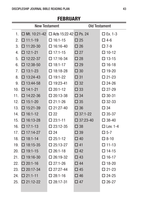|                  | <b>New Testament</b>                                   |                    | <b>Old Testament</b> |                   |
|------------------|--------------------------------------------------------|--------------------|----------------------|-------------------|
| 1.               | $\Box$ Mt. 10:21-42 $\Box$ Acts 15:22-42 $\Box$ Ps. 24 |                    |                      | $\square$ Ex. 1-3 |
| 2.               | $\Box$ 11:1-19                                         | $\Box$ 16:1-15     | $\square$ 25         | $\square$ 4-6     |
| 3.               | $\Box$ 11:20-30                                        | $\Box$ 16:16-40    | $\square$ 26         | $\square$ 7-9     |
| $\overline{4}$ . | $\Box$ 12:1-21                                         | $\Box$ 17:1-15     | $\square$ 27         | $\square$ 10-12   |
| 5.               | $\Box$ 12:22-37                                        | $\Box$ 17:16-34    | $\square$ 28         | $\square$ 13-15   |
| 6.               | $\Box$ 12:38-50                                        | $\Box$ 18:1-17     | $\square$ 29         | $\square$ 16-18   |
| 7.               | $\Box$ 13:1-23                                         | $\Box$ 18:18-28    | $\square$ 30         | $\square$ 19-20   |
| 8.               | $\Box$ 13:24-43                                        | $\Box$ 19:1-22     | $\square$ 31         | $\square$ 21-23   |
| 9.               | $\Box$ 13:44-58                                        | $\Box$ 19:23-41    | $\square$ 32         | $\square$ 24-26   |
| 10.              | $\Box$ 14:1-21                                         | $\square$ 20:1-12  | $\square$ 33         | $\Box$ 27-29      |
| 11.              | $\Box$ 14:22-36                                        | $\square$ 20:13-38 | $\square$ 34         | $\Box$ 30-31      |
| 12.              | $\Box$ 15:1-20                                         | $\square$ 21:1-26  | $\Box$ 35            | $\Box$ 32-33      |
| 13.              | $\Box$ 15:21-39                                        | $\square$ 21:27-40 | $\square$ 36         | $\square$ 34      |
| 14.              | $\Box$ 16:1-12                                         | $\square$ 22       | $\Box$ 37:1-22       | $\square$ 35-37   |
| 15.              | $\Box$ 16:13-28                                        | $\square$ 23:1-11  | $\Box$ 37:23-40      | $\Box$ 38-40      |
| 16.              | $\Box$ 17:1-13                                         | $\square$ 23:12-35 | $\square$ 38         | $\Box$ Lev. 1-4   |
| 17.              | $\Box$ 17:14-27                                        | $\square$ 24       | $\square$ 39         | $\square$ 5-7     |
| 18.              | $\Box$ 18:1-14                                         | $\square$ 25:1-12  | $\Box$ 40            | $\square$ 8-10    |
| 19.              | $\Box$ 18:15-35                                        | $\square$ 25:13-27 | $\Box$ 41            | $\square$ 11-13   |
| 20.              | $\Box$ 19:1-15                                         | $\square$ 26:1-18  | $\square$ 42         | $\square$ 14-15   |
| 21.              | $\Box$ 19:16-30                                        | $\square$ 26:19-32 | $\square$ 43         | $\square$ 16-17   |
| 22.              | $\square$ 20:1-16                                      | $\Box$ 27:1-26     | $\Box$ 44            | $\square$ 18-20   |
| 23.              | $\Box$ 20:17-34                                        | $\square$ 27:27-44 | $\Box$ 45            | $\square$ 21-23   |
| 24.              | $\Box$ 21:1-11                                         | $\square$ 28:1-16  | $\Box$ 46            | $\square$ 24-25   |
| 25.              | $\square$ 21:12-22                                     | □ 28:17-31         | $\Box$ 47            | $\square$ 26-27   |
|                  |                                                        |                    |                      |                   |

# **FEBRUARY**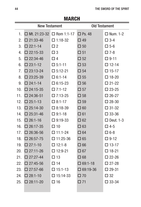| <b>New Testament</b> |                                                     |                   | <b>Old Testament</b> |                  |
|----------------------|-----------------------------------------------------|-------------------|----------------------|------------------|
| 1.                   | $\Box$ Mt. 21:23-32 $\Box$ Rom 1:1-17 $\Box$ Ps. 48 |                   |                      | $\Box$ Num. 1-2  |
| 2.                   | $\square$ 21:33-46                                  | $\Box$ 1:18-32    | $\Box$ 49            | $\Box$ 3-4       |
| 3.                   | $\Box$ 22:1-14                                      | $\square$ 2       | $\square$ 50         | $\square$ 5-6    |
| 4.                   | $\square$ 22:15-33                                  | $\Box$ 3          | $\square$ 51         | $\square$ 7-8    |
| 5.                   | $\Box$ 22:34-46                                     | $\Box$ 4          | $\square$ 52         | $\Box$ 9-11      |
| 6.                   | $\Box$ 23:1-12                                      | $\square$ 5:1-11  | $\square$ 53         | $\square$ 12-14  |
| 7.                   | $\square$ 23:13-24                                  | $\square$ 5:12-21 | $\square$ 54         | $\square$ 15-17  |
| 8.                   | $\square$ 23:25-39                                  | $\Box$ 6:1-14     | $\square$ 55         | $\Box$ 18-20     |
| 9.                   | $\Box$ 24:1-14                                      | $\square$ 6:15-23 | $\square$ 56         | $\square$ 21-22  |
| 10.                  | $\Box$ 24:15-35                                     | $\Box$ 7:1-12     | $\square$ 57         | $\square$ 23-25  |
| 11.                  | $\Box$ 24:36-51                                     | $\Box$ 7:13-25    | $\square$ 58         | $\square$ 26-27  |
| 12.                  | $\Box$ 25:1-13                                      | $\Box$ 8:1-17     | $\square$ 59         | $\Box$ 28-30     |
| 13.                  | $\Box$ 25:14-30                                     | $\Box$ 8:18-39    | $\square$ 60         | $\Box$ 31-32     |
| 14.                  | $\Box$ 25:31-46                                     | $\Box$ 9:1-18     | $\square$ 61         | $\Box$ 33-36     |
| 15.                  | $\square$ 26:1-16                                   | $\Box$ 9:19-33    | 口 62                 | $\Box$ Deut. 1-3 |
| 16.                  | $\Box$ 26:17-35                                     | $\square$ 10      | $\square$ 63         | $\square$ 4-5    |
| 17.                  | $\Box$ 26:36-56                                     | $\Box$ 11:1-24    | $\square$ 64         | $\square$ 6-8    |
| 18.                  | $\square$ 26:57-75                                  | $\Box$ 11:25-36   | 口 65                 | $\Box$ 9-12      |
| 19.                  | $\Box$ 27:1-10                                      | $\Box$ 12:1-8     | $\square$ 66         | $\Box$ 13-17     |
| 20.                  | $\square$ 27:11-26                                  | $\Box$ 12:9-21    | $\square$ 67         | $\square$ 18-21  |
| 21.                  | $\Box$ 27:27-44                                     | $\Box$ 13         | $\square$ 68         | $\square$ 22-26  |
| 22.                  | $\Box$ 27:45-56                                     | $\square$ 14      | $\Box$ 69:1-18       | $\square$ 27-28  |
| 23.                  | $\Box$ 27:57-66                                     | $\Box$ 15:1-13    | $\Box$ 69:19-36      | $\square$ 29-31  |
| 24.                  | $\Box$ 28:1-10                                      | $\Box$ 15:14-33   | $\square$ 70         | $\square$ 32     |
| 25.                  | $\square$ 28:11-20                                  | $\square$ 16      | $\square$ 71         | $\Box$ 33-34     |

MARCH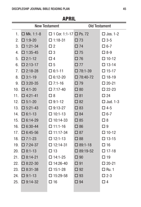|     | <b>New Testament</b> |                                    | <b>Old Testament</b> |                 |
|-----|----------------------|------------------------------------|----------------------|-----------------|
| 1.  | $\Box$ Mk. 1:1-8     | $\Box$ 1 Cor. 1:1-17 $\Box$ Ps. 72 |                      | $\Box$ Jos. 1-2 |
| 2.  | $\Box$ 1:9-20        | $\Box$ 1:18-31                     | $\square$ 73         | $\square$ 3-5   |
| 3.  | $\Box$ 1:21-34       | $\square$ 2                        | $\square$ 74         | $\square$ 6-7   |
| 4.  | $\Box$ 1:35-45       | $\Box$ 3                           | $\Box$ 75            | $\square$ 8-9   |
| 5.  | $\Box$ 2:1-12        | $\Box$ 4                           | $\square$ 76         | $\Box$ 10-12    |
| 6.  | $\Box$ 2:13-17       | $\square$ 5                        | $\Box$ 77            | $\Box$ 13-14    |
| 7.  | $\square$ 2:18-28    | $\square$ 6:1-11                   | $\Box$ 78:1-39       | $\square$ 15-17 |
| 8.  | $\Box$ 3:1-19        | $\Box$ 6:12-20                     | □ 78:40-72           | $\Box$ 18-19    |
| 9.  | $\Box$ 3:20-35       | $\Box$ 7:1-16                      | $\Box$ 79            | $\square$ 20-21 |
| 10. | $\Box$ 4:1-20        | $\Box$ 7:17-40                     | $\square$ 80         | $\square$ 22-23 |
| 11. | $\Box$ 4:21-41       | $\square$ 8                        | $\square$ 81         | $\square$ 24    |
| 12. | $\Box$ 5:1-20        | $\Box$ 9:1-12                      | $\square$ 82         | $\Box$ Jud. 1-3 |
| 13. | $\Box$ 5:21-43       | $\Box$ 9:13-27                     | $\square$ 83         | $\square$ 4-5   |
| 14. | $\Box$ 6:1-13        | $\Box$ 10:1-13                     | $\square$ 84         | $\square$ 6-7   |
| 15. | $\Box$ 6:14-29       | $\Box$ 10:14-33                    | $\square$ 85         | $\square$ 8     |
| 16. | $\Box$ 6:30-44       | $\Box$ 11:1-16                     | $\square$ 86         | $\Box$ 9        |
| 17. | $\Box$ 6:45-56       | $\Box$ 11:17-34                    | $\square$ 87         | $\Box$ 10-12    |
| 18. | $\Box$ 7:1-23        | $\Box$ 12:1-13                     | $\square$ 88         | $\square$ 13-15 |
| 19. | $\Box$ 7:24-37       | $\Box$ 12:14-31                    | $\Box$ 89:1-18       | $\square$ 16    |
| 20. | $\Box$ 8:1-13        | $\square$ 13                       | $\Box$ 89:19-52      | $\square$ 17-18 |
| 21. | $\Box$ 8:14-21       | $\Box$ 14:1-25                     | $\square$ 90         | $\Box$ 19       |
| 22. | $\Box$ 8:22-30       | $\Box$ 14:26-40                    | $\Box$ 91            | $\square$ 20-21 |
| 23. | $\Box$ 8:31-38       | $\Box$ 15:1-28                     | $\Box$ 92            | $\Box$ Ru. 1    |
| 24. | $\Box$ 9:1-13        | $\Box$ 15:29-58                    | $\Box$ 93            | $\square$ 2-3   |
| 25. | $\Box$ 9:14-32       | $\square$ 16                       | $\square$ 94         | $\Box$ 4        |
|     |                      |                                    |                      |                 |

# APRIL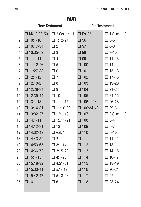|     |                                                       | <b>New Testament</b> | <b>Old Testament</b> |                   |
|-----|-------------------------------------------------------|----------------------|----------------------|-------------------|
| 1.  | $\Box$ Mk. 9:33-50 $\Box$ 2 Cor. 1:1-11 $\Box$ Ps. 95 |                      |                      | $\Box$ 1 Sam. 1-2 |
| 2.  | $\Box$ 10:1-16                                        | $\Box$ 1:12-24       | $\square$ 96         | $\Box$ 3-5        |
| 3.  | $\Box$ 10:17-34                                       | $\square$ 2          | $\square$ 97         | $\square$ 6-8     |
| 4.  | $\Box$ 10:35-52                                       | $\Box$ 3             | $\Box$ 98            | $\Box$ 9-10       |
| 5.  | $\square$ 11:1-11                                     | □4                   | $\Box$ 99            | $\square$ 11-13   |
| 6.  | $\Box$ 11:12-26                                       | 口 5                  | $\square$ 100        | □ 14              |
| 7.  | $\Box$ 11:27-33                                       | $\square$ 6          | $\square$ 101        | $\square$ 15-16   |
| 8.  | $\Box$ 12:1-12                                        | $\square$ 7          | $\square$ 102        | $\square$ 17-18   |
| 9.  | $\Box$ 12:13-27                                       | $\square$ 8          | $\square$ 103        | $\square$ 19-20   |
| 10. | $\Box$ 12:28-34                                       | $\Box$ 9             | $\square$ 104        | $\square$ 21-23   |
| 11. | $\Box$ 12:35-44                                       | $\square$ 10         | $\square$ 105        | $\square$ 24-25   |
| 12. | $\Box$ 13:1-13                                        | $\square$ 11:1-15    | $\square$ 106:1-23   | $\square$ 26-28   |
| 13. | $\Box$ 13:14-31                                       | $\Box$ 11:16-33      | $\square$ 106:24-48  | $\square$ 29-31   |
| 14. | $\Box$ 13:32-37                                       | $\Box$ 12:1-10       | $\square$ 107        | $\Box$ 2 Sam. 1-2 |
| 15. | $\Box$ 14:1-11                                        | □ 12:11-21           | $\square$ 108        | $\Box$ 3-4        |
| 16. | $\Box$ 14:12-31                                       | $\Box$ 13            | $\square$ 109        | $\square$ 5-7     |
| 17. | $\Box$ 14:32-42                                       | $\Box$ Gal. 1        | $\square$ 110        | $\square$ 8-10    |
| 18. | $\Box$ 14:43-52                                       | $\square$ 2          | $\square$ 111        | $\square$ 11-12   |
| 19. | $\Box$ 14:53-65                                       | $\Box$ 3:1-14        | $\square$ 112        | $\square$ 13      |
| 20. | $\Box$ 14:66-72                                       | $\Box$ 3:15-29       | $\square$ 113        | $\square$ 14-15   |
| 21. | $\Box$ 15:1-15                                        | $\Box$ 4:1-20        | $\square$ 114        | $\square$ 16-17   |
| 22. | $\Box$ 15:16-32                                       | $\Box$ 4:21-31       | $\square$ 115        | $\Box$ 18-19      |
| 23. | $\square$ 15:33-41                                    | $\Box$ 5:1-12        | $\square$ 116        | $\square$ 20-21   |
| 24. | $\Box$ 15:42-47                                       | $\Box$ 5:13-26       | $\square$ 117        | $\square$ 22      |
| 25. | $\Box$ 16                                             | $\square$ 6          | $\square$ 118        | $\square$ 23-24   |

**MAY**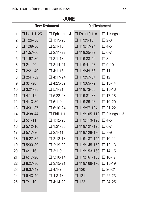|     | <b>New Testament</b> |                     | <b>Old Testament</b>            |                    |
|-----|----------------------|---------------------|---------------------------------|--------------------|
| 1.  | $\Box$ Lk. 1:1-25    | $\Box$ Eph. 1:1-14  | $\Box$ Ps. 119:1-8              | $\Box$ 1 Kings 1   |
| 2.  | $\Box$ 1:26-38       | $\Box$ 1:15-23      | □ 119:9-16                      | $\square$ 2-3      |
| 3.  | $\Box$ 1:39-56       | $\square$ 2:1-10    | $\Box$ 119:17-24                | $\square$ 4-5      |
| 4.  | $\Box$ 1:57-66       | $\square$ 2:11-22   | $\Box$ 119:25-32                | $\square$ 6-7      |
| 5.  | $\Box$ 1:67-80       | $\Box$ 3:1-13       | $\Box$ 119:33-40                | $\square$ 8        |
| 6.  | $\Box$ 2:1-20        | $\square$ 3:14-21   | $\Box$ 119:41-48                | $\Box$ 9-10        |
| 7.  | $\square$ 2:21-40    | $\Box$ 4:1-16       | $\Box$ 119:49-56                | $\square$ 11       |
| 8.  | $\square$ 2:41-52    | $\Box$ 4:17-24      | $\Box$ 119:57-64                | $\square$ 12       |
| 9.  | $\Box$ 3:1-20        | $\Box$ 4:25-32      | $\Box$ 119:65-72                | $\square$ 13-14    |
| 10. | $\Box$ 3:21-38       | $\square$ 5:1-21    | $\Box$ 119:73-80                | $\square$ 15-16    |
| 11. | $\Box$ 4:1-12        | $\square$ 5:22-23   | $\Box$ 119:81-88                | $\square$ 17-18    |
| 12. | $\Box$ 4:13-30       | $\Box$ 6:1-9        | $\Box$ 119:89-96                | $\Box$ 19-20       |
| 13. | $\square$ 4:31-37    | $\Box$ 6:10-24      | $\Box$ 119:97-104               | $\square$ 21-22    |
| 14. | $\square$ 4:38-44    | $\Box$ Phil. 1:1-11 | □ 119:105-112                   | $\Box$ 2 Kings 1-3 |
| 15. | $\square$ 5:1-11     | $\Box$ 1:12-20      | □ 119:113-120                   | $\square$ 4-5      |
| 16. | $\square$ 5:12-16    | $\Box$ 1:21-30      | $\Box$ 119:121-128              | $\square$ 6-7      |
| 17. | $\square$ 5:17-26    | $\square$ 2:1-11    | $\Box$ 119:129-136 $\Box$ 8-9   |                    |
| 18. | $\square$ 5:27-32    | $\square$ 2:12-18   | □ 119:137-144                   | $\square$ 10-11    |
| 19. | $\Box$ 5:33-39       | $\square$ 2:19-30   | □ 119:145-152                   | $\square$ 12-13    |
| 20. | $\Box$ 6:1-16        | $\Box$ 3:1-9        | $\Box$ 119:153-160 $\Box$ 14-15 |                    |
| 21. | $\Box$ 6:17-26       | $\square$ 3:10-14   | $\Box$ 119:161-168              | $\square$ 16-17    |
| 22. | $\Box$ 6:27-36       | $\Box$ 3:15-21      | □ 119:169-176                   | $\Box$ 18-19       |
| 23. | $\Box$ 6:37-42       | $\Box$ 4:1-7        | $\Box$ 120                      | $\square$ 20-21    |
| 24. | $\Box$ 6:43-49       | $\Box$ 4:8-13       | $\square$ 121                   | $\square$ 22-23    |
| 25. | $\Box$ 7:1-10        | $\Box$ 4:14-23      | $\square$ 122                   | $\square$ 24-25    |
|     |                      |                     |                                 |                    |

JUNE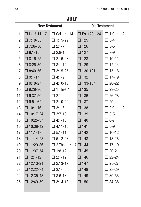|     | <b>New Testament</b> |                                 | <b>Old Testament</b>                 |                   |
|-----|----------------------|---------------------------------|--------------------------------------|-------------------|
| 1.  | $\Box$ Lk. 7:11-17   | l □ Col. 1:1-14                 | $\Box$ Ps. 123-124 $\Box$ 1 Chr. 1-2 |                   |
| 2.  | $\Box$ 7:18-35       | $\Box$ 1:15-29                  | $\square$ 125                        | $\Box$ 3-4        |
| 3.  | $\Box$ 7:36-50       | $\Box$ 2:1-7                    | $\square$ 126                        | $\square$ 5-6     |
| 4.  | $\Box$ 8:1-15        | $\square$ 2:8-15                | $\square$ 127                        | $\square$ 7-9     |
| 5.  | $\square$ 8:16-25    | $\square$ 2:16-23               | $\square$ 128                        | $\square$ 10-11   |
| 6.  | $\Box$ 8:26-39       | $\Box$ 3:1-14                   | $\square$ 129                        | $\Box$ 12-14      |
| 7.  | $\Box$ 8:40-56       | $\Box$ 3:15-25                  | □ 130-131                            | $\square$ 15-16   |
| 8.  | $\Box$ 9:1-17        | $\Box$ 4:1-9                    | $\square$ 132                        | $\Box$ 17-19      |
| 9.  | $\Box$ 9:18-27       | $\Box$ 4:10-18                  | $\Box$ 133-134                       | $\square$ 20-22   |
| 10. | $\Box$ 9:28-36       | $\Box$ 1 Thes. 1                | $\square$ 135                        | $\square$ 23-25   |
| 11. | $\Box$ 9:37-50       | $\Box$ 2:1-9                    | $\square$ 136                        | $\square$ 26-28   |
| 12. | $\Box$ 9:51-62       | $\square$ 2:10-20               | $\square$ 137                        | $\square$ 29      |
| 13. | $\Box$ 10:1-16       | $\Box$ 3:1-6                    | $\square$ 138                        | $\Box$ 2 Chr. 1-2 |
| 14. | $\Box$ 10:17-24      | $\Box$ 3:7-13                   | $\Box$ 139                           | $\Box$ 3-5        |
| 15. | $\Box$ 10:25-37      | $\Box$ 4:1-10                   | $\square$ 140                        | $\square$ 6-7     |
| 16. | $\Box$ 10:38-42      | $\square$ 4:11-18               | $\Box$ 141                           | $\square$ 8-9     |
| 17. | $\Box$ 11:1-13       | $\square$ 5:1-11                | $\Box$ 142                           | $\square$ 10-12   |
| 18. | $\Box$ 11:14-28      | $\square$ 5:12-28               | $\Box$ 143                           | $\square$ 13-16   |
| 19. | $\Box$ 11:29-36      | $\Box$ 2 Thes. 1:1-7 $\Box$ 144 |                                      | $\Box$ 17-19      |
| 20. | $\Box$ 11:37-54      | $\Box$ 1:8-12                   | $\square$ 145                        | $\square$ 20-21   |
| 21. | $\Box$ 12:1-12       | $\square$ 2:1-12                | $\square$ 146                        | $\square$ 22-24   |
| 22. | $\Box$ 12:13-21      | $\square$ 2:13-17               | $\Box$ 147                           | $\square$ 25-27   |
| 23. | $\Box$ 12:22-34      | $\Box$ 3:1-5                    | $\square$ 148                        | $\square$ 28-29   |
| 24. | $\Box$ 12:35-48      | $\square$ 3:6-13                | $\Box$ 149                           | $\square$ 30-33   |
| 25. | $\Box$ 12:49-59      | $\Box$ 3:14-18                  | $\square$ 150                        | $\Box$ 34-36      |
|     |                      |                                 |                                      |                   |

**JULY**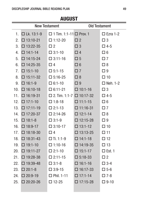|     | <b>New Testament</b> |                                      | <b>Old Testament</b> |                    |
|-----|----------------------|--------------------------------------|----------------------|--------------------|
| 1.  | $\Box$ Lk. 13:1-9    | $\Box$ 1 Tim. 1:1-11 $\Box$ Prov. 1  |                      | $\square$ Ezra 1-2 |
| 2.  | $\Box$ 13:10-21      | $\Box$ 1:12-20                       | $\square$ 2          | $\square$ 3        |
| 3.  | $\Box$ 13:22-35      | $\square$ 2                          | $\square$ 3          | $\square$ 4-5      |
| 4.  | $\Box$ 14:1-14       | $\Box$ 3:1-10                        | $\Box$ 4             | $\square$ 6        |
| 5.  | $\Box$ 14:15-24      | $\Box$ 3:11-16                       | $\square$ 5          | $\square$ 7        |
| 6.  | $\Box$ 14:25-35      | $\Box$ 4                             | $\Box$ 6             | $\square$ 8        |
| 7.  | $\Box$ 15:1-10       | $\square$ 5:1-15                     | $\square$ 7          | $\Box$ 9           |
| 8.  | $\Box$ 15:11-32      | $\square$ 5:16-25                    | $\square$ 8          | $\square$ 10       |
| 9.  | $\Box$ 16:1-9        | $\Box$ 6:1-10                        | $\Box$ 9             | $\Box$ Neh. 1-2    |
| 10. | $\Box$ 16:10-18      | $\Box$ 6:11-21                       | $\Box$ 10:1-16       | $\square$ 3        |
| 11. | $\Box$ 16:19-31      | $\Box$ 2. Tim. 1:1-7 $\Box$ 10:17-32 |                      | $\square$ 4-5      |
| 12. | $\Box$ 17:1-10       | $\Box$ 1:8-18                        | $\Box$ 11:1-15       | $\square$ 6        |
| 13. | $\Box$ 17:11-19      | $\Box$ 2:1-13                        | $\Box$ 11:16-31      | $\square$ 7        |
| 14. | $\Box$ 17:20-37      | $\square$ 2:14-26                    | $\Box$ 12:1-14       | $\square$ 8        |
| 15. | $\Box$ 18:1-8        | $\Box$ 3:1-9                         | $\square$ 12:15-28   | $\Box$ 9           |
| 16. | $\Box$ 18:9-17       | $\Box$ 3:10-17                       | $\Box$ 13:1-12       | $\square$ 10       |
|     | 17. $\Box$ 18:18-30  | □ 4                                  | $\Box$ 13:13-25      | $\square$ 11       |
| 18. | $\Box$ 18:31-43      | $\Box$ Ti. 1:1-9                     | $\Box$ 14:1-18       | $\square$ 12       |
| 19. | $\Box$ 19:1-10       | $\Box$ 1:10-16                       | $\Box$ 14:19-35      | $\square$ 13       |
| 20. | $\Box$ 19:11-27      | $\Box$ 2:1-10                        | $\square$ 15:1-17    | $\Box$ Est. 1      |
| 21. | $\Box$ 19:28-38      | $\square$ 2:11-15                    | $\square$ 5:18-33    | $\square$ 2        |
| 22. | $\Box$ 19:39-48      | $\Box$ 3:1-8                         | $\square$ 16:1-16    | $\Box$ 3-4         |
| 23. | $\Box$ 20:1-8        | $\Box$ 3:9-15                        | $\Box$ 16:17-33      | $\square$ 5-6      |
| 24. | $\Box$ 20:9-19       | $\Box$ Phil. 1-11                    | $\Box$ 17:1-14       | $\square$ 7-8      |
| 25. | $\square$ 20:20-26   | $\square$ 12-25                      | $\Box$ 17:15-28      | $\square$ 9-10     |
|     |                      |                                      |                      |                    |

# AUGUST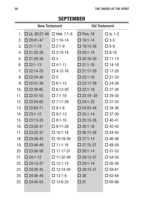| <b>New Testament</b> |                                       | <b>Old Testament</b> |                    |                 |
|----------------------|---------------------------------------|----------------------|--------------------|-----------------|
| 1.                   | $\Box$ Lk. 20:27-40 $\Box$ Heb. 1:1-9 |                      | $\Box$ Prov. 18    | $\Box$ ls. 1-2  |
| 2.                   | $\Box$ 20:41-47                       | $\Box$ 1:10-14       | $\Box$ 19:1-14     | $\Box$ 3-5      |
| 3.                   | $\Box$ 21:1-19                        | $\Box$ 2:1-9         | $\Box$ 19:15-29    | $\square$ 6-8   |
| 4.                   | $\Box$ 21:20-28                       | $\Box$ 2:10-18       | $\Box$ 20:1-15     | $\square$ 9-10  |
| 5.                   | $\Box$ 21:29-38                       | $\Box$ 3             | $\square$ 20:16-30 | $\Box$ 11-13    |
| 6.                   | $\square$ 22:1-13                     | $\Box$ 4:1-11        | $\square$ 21:1-16  | $\square$ 14-16 |
| 7.                   | $\Box$ 22:14-23                       | $\Box$ 4:12-16       | $\Box$ 21:17-29    | $\Box$ 17-20    |
| 8.                   | $\square$ 22:24-30                    | $\square$ 5          | $\Box$ 22:1-16     | $\square$ 21-23 |
| 9.                   | $\square$ 22:31-38                    | $\Box$ 6:1-12        | $\square$ 22:17-29 | $\Box$ 24-26    |
| 10.                  | $\Box$ 22:39:46                       | $\Box$ 6:13-20       | $\Box$ 23:1-18     | $\square$ 27-28 |
| 11.                  | $\square$ 22:47-53                    | $\Box$ 7:1-10        | $\Box$ 23:19 -35   | $\square$ 29-30 |
| 12.                  | $\square$ 22:54-62                    | $\Box$ 7:11-28       | $\square$ 24:1-22  | $\Box$ 31-33    |
| 13.                  | $\square$ 22:63-71                    | $\Box$ 8:1-6         | $\square$ 24:23-34 | $\Box$ 34-36    |
| 14.                  | $\Box$ 23:1-12                        | $\Box$ 8:7-13        | $\square$ 25:1-14  | $\Box$ 37-39    |
| 15.                  | $\square$ 23:13-25                    | $\Box$ 9:1-10        | $\square$ 25:15-28 | $\square$ 40-41 |
| 16.                  | $\square$ 23:26-31                    | $\Box$ 9:11-28       | $\Box$ 26:1-16     | $\square$ 42-43 |
| 17.                  | $\Box$ 23:32-37                       | $\Box$ 10:1-18       | $\Box$ 26:17-28    | $\square$ 44-45 |
| 18.                  | $\square$ 23:38-43                    | $\Box$ 10:19-39      | $\square$ 27:1-14  | $\square$ 46-48 |
| 19.                  | $\Box$ 23:44-49                       | $\Box$ 11:1-16       | $\square$ 27:15-27 | $\Box$ 49-50    |
| 20.                  | $\square$ 23:50-56                    | $\Box$ 11:17-31      | $\square$ 28:1-14  | $\square$ 51-53 |
| 21.                  | $\Box$ 24:1-12                        | $\Box$ 11:32-40      | $\Box$ 28:15-27    | $\square$ 54-55 |
| 22.                  | $\square$ 24:13-27                    | $\Box$ 12:1-13       | $\square$ 29:1-14  | $\square$ 56-58 |
| 23.                  | $\square$ 24:28-35                    | $\Box$ 12:14-29      | $\square$ 29:15-27 | $\square$ 59-61 |
| 24.                  | $\Box$ 24:36-44                       | $\Box$ 13:1-8        | $\Box$ 30          | $\square$ 62-64 |
| 25.                  | $\square$ 24:45-53                    | $\Box$ 13:9-25       | $\square$ 31       | $\square$ 65-66 |
|                      |                                       |                      |                    |                 |

# SEPTEMBER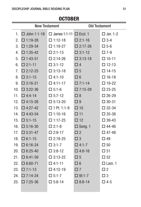|     |                                                       | <b>New Testament</b> | <b>Old Testament</b> |                 |
|-----|-------------------------------------------------------|----------------------|----------------------|-----------------|
| 1.  | $\Box$ John 1:1-18 $\Box$ James 1:1-11 $\Box$ Eccl. 1 |                      |                      | $\Box$ Jer. 1-2 |
| 2.  | $\Box$ 1:19-28                                        | □ 1:12-18            | $\Box$ 2:1-16        | $\Box$ 3-4      |
| 3.  | $\Box$ 1:29-34                                        | $\Box$ 1:19-27       | $\Box$ 2:17-26       | $\square$ 5-6   |
| 4.  | $\Box$ 1:35-42                                        | $\Box$ 2:1-13        | $\Box$ 3:1-12        | $\Box$ 7-9      |
| 5.  | $\Box$ 1:43-51                                        | $\Box$ 2:14-26       | $\Box$ 3:13-18       | $\square$ 10-11 |
| 6.  | $\square$ 2:1-11                                      | $\Box$ 3:1-12        | $\Box$ 4             | $\Box$ 12-13    |
| 7.  | $\square$ 2:12-25                                     | $\Box$ 3:13-18       | $\square$ 5          | $\square$ 14-15 |
| 8.  | $\Box$ 3:1-15                                         | $\Box$ 4:1-10        | $\Box$ 6             | $\square$ 16-18 |
| 9.  | $\Box$ 3:16-21                                        | $\square$ 4:11-17    | $\Box$ 7:1-14        | $\Box$ 19-22    |
| 10. | $\Box$ 3:22-36                                        | $\Box$ 5:1-6         | $\Box$ 7:15-29       | $\square$ 23-25 |
|     | 11. $\Box$ 4:4-14                                     | $\Box$ 5:7-12        | $\square$ 8          | $\square$ 26-29 |
|     | 12. $\Box$ 4:15-26                                    | $\Box$ 5:13-20       | $\Box$ 9             | $\Box$ 30-31    |
|     | 13. $\Box$ 4:27-42                                    | $\Box$ 1 Pt. 1:1-9   | $\Box$ 10            | $\Box$ 32-34    |
| 14. | $\Box$ 4:43-54                                        | $\Box$ 1:10-16       | $\square$ 11         | $\square$ 35-38 |
| 15. | $\square$ 5:1-15                                      | $\Box$ 1:17-25       | $\square$ 12         | $\Box$ 39-43    |
| 16. | $\Box$ 5:16-30                                        | $\Box$ 2:1-8         | $\Box$ Song. 1       | $\square$ 44-46 |
|     | 17. $\Box$ 5:31-47                                    | $\Box$ 2:9-17        | $\square$ 2          | $\square$ 47-48 |
| 18. | $\square$ 6:1-15                                      | $\square$ 2:18-25    | $\Box$ 3             | $\Box$ 49       |
| 19. | $\Box$ 6:16-24                                        | $\Box$ 3:1-7         | $\Box$ 4:1-7         | $\square$ 50    |
| 20. | $\Box$ 6:25-40                                        | $\Box$ 3:8-12        | $\Box$ 4:8-16        | $\square$ 51    |
| 21. | $\Box$ 6:41-59                                        | $\Box$ 3:13-22       | $\square$ 5          | $\square$ 52    |
| 22. | $\square$ 6:60-71                                     | $\square$ 4:1-11     | $\square$ 6          | $\Box$ Lam. 1   |
| 23. | $\Box$ 7:1-13                                         | $\Box$ 4:12-19       | $\Box$ 7             | $\square$ 2     |
| 24. | $\Box$ 7:14-24                                        | $\Box$ 5:1-7         | $\Box$ t8:1-7        | $\Box$ 3        |
| 25. | $\Box$ 7:25-36                                        | $\square$ 5:8-14     | $\square$ 8:8-14     | $\square$ 4-5   |

# **OCTOBER**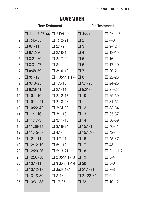|                |                                                       | <b>New Testament</b>         | <b>Old Testament</b> |                    |
|----------------|-------------------------------------------------------|------------------------------|----------------------|--------------------|
| 1.             | $\Box$ John 7:37-44 $\Box$ 2 Pet. 1:1-11 $\Box$ Job 1 |                              |                      | $\square$ Ez. 1-3  |
| 2.             | $\Box$ 7:45-53                                        | $\Box$ 1:12-21               | $\square$ 2          | $\square$ 4-8      |
| 3.             | $\Box$ 8:1-11                                         | $\Box$ 2:1-9                 | $\Box$ 3             | $\Box$ 9-12        |
| 4.             | $\Box$ 8:12-20                                        | $\Box$ 2:10-16               | $\Box$ 4             | $\square$ 13-15    |
| 5.             | $\Box$ 8:21-30                                        | $\Box$ 2:17-22               | $\square$ 5          | $\square$ 16       |
| 6.             | $\Box$ 8:31-47                                        | $\Box$ 3:1-9                 | $\square$ 6          | $\Box$ 17-19       |
| 7 <sub>1</sub> | $\Box$ 8:48-59                                        | $\Box$ 3:10-18               | $\Box$ 7             | $\square$ 20-21    |
| 8.             | $\Box$ 9:1-12                                         | $\Box$ 1 John 1:1-4 $\Box$ 8 |                      | $\square$ 22-23    |
| 9.             | $\Box$ 9:13-25                                        | $\Box$ 1:5-10                | $\Box$ 9:1-20        | $\square$ 24-26    |
| 10.            | $\Box$ 9:26-41                                        | $\square$ 2:1-11             | $\Box$ 9:21-35       | $\square$ 27-28    |
| 11.            | $\Box$ 10:1-10                                        | $\Box$ 2:12-17               | $\Box$ 10            | $\Box$ 29-30       |
| 12.            | $\Box$ 10:11-21                                       | $\Box$ 2:18-23               | $\square$ 11         | $\Box$ 31-32       |
|                | 13. $\Box$ 10:22-42                                   | $\Box$ 2:24-29               | $\square$ 12         | $\Box$ 33-34       |
| 14.            | $\Box$ 11:1-16                                        | $\Box$ 3:1-10                | $\Box$ 13            | $\Box$ 35-37       |
| 15.            | $\Box$ 11:17-37                                       | $\Box$ 3:11-18               | $\Box$ 14            | $\Box$ 38-39       |
| 16.            | $\Box$ 11:38-44                                       | $\Box$ 3:19-24               | $\Box$ 15:1-16       | $\square$ 40-41    |
| 17.            | $\Box$ 11:45-57                                       | $\Box$ 4:1-6                 | $\square$ 15:17-35   | $\square$ 42-44    |
| 18.            | $\Box$ 12:1-11                                        | $\Box$ 4:7-21                | $\square$ 16         | $\Box$ 45-47       |
| 19.            | $\Box$ 12:12-19                                       | $\Box$ 5:1-12                | $\Box$ 17            | □ 48               |
| 20.            | $\Box$ 12:20-36                                       | $\square$ 5:13-21            | $\square$ 18         | $\square$ Dan. 1-2 |
| 21.            | $\Box$ 12:37-50                                       | $\Box$ 2 John 1-13 $\Box$ 19 |                      | $\Box$ 3-4         |
| 22.            | $\Box$ 13:1-11                                        | $\Box$ 3 John 1-14           | $\square$ 20         | $\square$ 5-6      |
| 23.            | $\Box$ 13:12-17                                       | $\Box$ Jude 1-7              | $\square$ 21:1-21    | $\square$ 7-8      |
| 24.            | $\Box$ 13:18-30                                       | $\square$ 8-16               | $\square$ 21:22-34   | $\Box$ 9           |
| 25.            | $\Box$ 13:31-38                                       | $\square$ 17-25              | $\square$ 22         | $\square$ 10-12    |

# NOVEMBER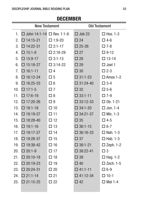| <b>New Testament</b> |                                       | <b>Old Testament</b> |                    |                     |
|----------------------|---------------------------------------|----------------------|--------------------|---------------------|
| 1.                   | $\Box$ John 14:1-14 $\Box$ Rev. 1:1-8 |                      | $\Box$ Job 23      | $\Box$ Hos. 1-3     |
| 2.                   | $\Box$ 14:15-21                       | $\Box$ 1:9-20        | $\square$ 24       | $\Box$ 4-6          |
| 3.                   | $\Box$ 14:22-31                       | $\square$ 2:1-17     | $\square$ 25-26    | $\square$ 7-8       |
| 4.                   | $\Box$ 15:1-8                         | $\square$ 2:18-29    | $\square$ 27       | $\square$ 9-12      |
| 5.                   | $\Box$ 15:9-17                        | $\Box$ 3:1-13        | $\square$ 28       | $\square$ 13-14     |
| 6.                   | $\Box$ 15:18-27                       | $\Box$ 3:14-22       | $\square$ 29       | $\Box$ Joel 1       |
| 7.                   | □ 16:1-11                             | $\Box$ 4             | $\square$ 30       | $\square$ 2-3       |
| 8.                   | $\Box$ 16:12-24                       | $\square$ 5          | $\Box$ 31:1-23     | $\Box$ Amos 1-2     |
| 9.                   | $\Box$ 16:25-33                       | $\square$ 6          | $\Box$ 31:24-40    | $\Box$ 3-4          |
| 10.                  | $\Box$ 17:1-5                         | $\square$ 7          | $\square$ 32       | $\square$ 5-6       |
| 11.                  | $\Box$ 17:6-19                        | $\square$ 8          | $\Box$ 33:1-11     | $\Box$ 7-9          |
| 12.                  | $\Box$ 17:20-26                       | $\square$ 9          | $\Box$ 33:12-33    | $\Box$ 0b. 1-21     |
| 13.                  | $\Box$ 18:1-18                        | $\square$ 10         | $\Box$ 34:1-20     | $\Box$ Jon. 1-4     |
| 14.                  | □ 18:19-27                            | $\square$ 11         | $\Box$ 34:21-37    | $\Box$ Mic. 1-3     |
| 15.                  | $\Box$ 18:28-40                       | $\square$ 12         | $\square$ 35       | $\square$ 4-5       |
| 16.                  | $\Box$ 19:1-16                        | $\square$ 13         | $\square$ 36:1-15  | $\square$ 6-7       |
| 17.                  | $\Box$ 19:17-27                       | $\Box$ 14            | $\square$ 36:16-33 | $\Box$ Nah. 1-3     |
| 18.                  | □ 19:28-37                            | $\square$ 15         | $\square$ 37       | $\Box$ Hab. 1-3     |
| 19.                  | $\Box$ 19:38-42                       | $\square$ 16         | $\Box$ 38:1-21     | $\square$ Zeph. 1-2 |
| 20.                  | $\Box$ 20:1-9                         | $\square$ 17         | $\square$ 38:22-41 | $\square$ 3         |
| 21.                  | $\square$ 20:10-18                    | $\square$ 18         | $\square$ 39       | $\Box$ Hag. 1-2     |
| 22.                  | $\square$ 20:19-23                    | $\Box$ 19            | $\Box$ 40          | $\square$ Zech. 1-5 |
| 23.                  | $\square$ 20:24-31                    | $\square$ 20         | $\square$ 41:1-11  | $\square$ 6-9       |
| 24.                  | $\square$ 21:1-14                     | $\square$ 21         | $\Box$ 41:12-34    | $\square$ 10-1      |
| 25.                  | $\square$ 21:15-25                    | $\square$ 22         | $\square$ 42       | $\Box$ Mal 1-4      |
|                      |                                       |                      |                    |                     |

## DECEMBER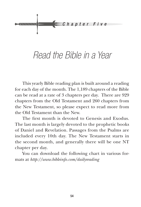*C h a p t e r F i v e* $\sim$ w $\sim$ 

# *Read the Bible in a Year*

This yearly Bible reading plan is built around a reading for each day of the month. The 1,189 chapters of the Bible can be read at a rate of 3 chapters per day. There are 929 chapters from the Old Testament and 260 chapters from the New Testament, so please expect to read more from the Old Testament than the New.

The first month is devoted to Genesis and Exodus. The last month is largely devoted to the prophetic books of Daniel and Revelation. Passages from the Psalms are included every 10th day. The New Testament starts in the second month, and generally there will be one NT chapter per day.

You can download the following chart in various formats at *http://www.bibleinfo.com/dailyreading*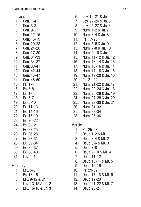January:

- 1. Gen. 1-4
- 2. Gen. 5-8
- 3. Gen. 9-11
- 4. Gen. 12-15
- 5. Gen. 16-19
- 6. Gen. 20-23
- 7. Gen. 24-26
- 8. Gen. 27-30
- 9. Gen. 31-33
- 10. Gen. 34-37
- 11. Gen. 38-41
- 12. Gen. 42-44
- 13. Gen. 45-47
- 14. Gen. 48-50
- 15. Ps. 1-4
- 16. Ps. 5-8
- 17. Ex. 1-4<br>18. Ex. 5-7
- Ex. 5-7
- 19. Ex. 8-10
- 20. Ex. 11-13
- 21. Ex. 14-16
- 22. Ex. 17-19
- 23. Ex. 20-22
- 24. Ps. 9-12
- 25. Ex. 23-25
- 26. Ex. 26-28
- 27. Ex. 27-31
- 28. Ex. 32-34
- 29. Ex. 35-37
- 30. Ex. 38-40
- 31. Lev. 1-4

#### February:

- 1. Lev. 5-8
- 2. Ps. 13-16
- 3. Lev. 9-12 & Jn. 1
- 4. Lev. 13-15 & Jn. 2
- 5. Lev. 16-18 & Jn. 3
- 6. Lev. 19-21 & Jn. 4 7. Lev. 22-24 & Jn. 5 8. Lev. 25-27 & Jn. 6 9. Num. 1-2 & Jn. 7 10. Num. 3-4 & Jn. 8 11. Ps. 17-20 12. Num. 5-6 & Jn. 9 13. Num. 7-8 & Jn. 10<br>14. Num. 9-10 & Jn. 11 Num. 9-10 & Jn. 11 15. Num. 11-12 & Jn. 12 16. Num. 13-14 & Jn. 13<br>17. Num. 15-16 & Jn. 14 Num. 15-16 & Jn. 14 18. Num. 17-18 & Jn. 15 19. Num. 19-20 & Jn. 16 20. Ps. 21-24 21. Num. 21-22 & Jn. 17<br>22. Num. 23-24 & Jn. 18 22. Num. 23-24 & Jn. 18<br>23. Num. 25-26 & Jn. 19 23. Num. 25-26 & Jn. 19<br>24. Num. 27-28 & Jn. 20 Num. 27-28 & Jn. 20 25. Num. 29-30 & Jn. 21 26. Num. 31-32<br>27. Num. 33-34 Num. 33-34
- 28. Num. 35-36

#### March:

- 1. Ps. 25-28<br>2. Deut. 1-2
- Deut. 1-2 & Mt. 1
- 3. Deut. 3-4 & Mt. 2
- 4. Deut. 5-6 & Mt. 3
- 5. Deut. 7-8
- 6. Deut. 9-10 & Mt. 4
- 7. Deut. 11-12
- 8. Deut. 13-14 & Mt. 5
- 9. Deut. 15-16
- 10. Ps. 29-32
- 11. Deut. 17-18 & Mt. 6
- 12. Deut. 19-20
- 13. Deut. 21-22 & Mt. 7
- 14. Deut. 23-24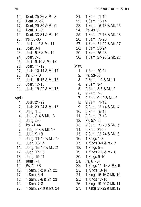| 15.    | Deut. 25-26 & Mt. 8                                         |
|--------|-------------------------------------------------------------|
| 16.    | Deut. 27-28                                                 |
| 17.    | Deut. 29-30 & Mt. 9                                         |
| 18.    | Deut. 31-32                                                 |
| 19.    | Deut. 33-34 & Mt. 10                                        |
| 20.    | Ps. 33-36                                                   |
| 21.    | Josh. 1-2 & Mt. 11                                          |
| 22.    | Josh. 3-4                                                   |
| 23.    | Josh. 5-6 & Mt. 12                                          |
| 24.    | Josh. 7-8                                                   |
| 25.    | Josh. 9-10 & Mt. 13                                         |
| 26.    | Josh. 11-12<br>Josh. 13-14 & Mt. 14                         |
| 27.    |                                                             |
| 28.    | Ps. 37-40                                                   |
| 29.    | Josh. 15-16 & Mt. 15                                        |
| 30.    | Josh. 17-18                                                 |
| 31.    | Josh. 19-20 & Mt. 16                                        |
|        |                                                             |
| April: |                                                             |
| 1.     | Josh. 21-22                                                 |
| 2.     | Josh. 23-24 & Mt. 17                                        |
| 3.     | Judg. 1-2                                                   |
| 4.     | Judg. 3-4 & Mt. 18                                          |
| 5.     | Judg. 5-6                                                   |
| 6.     | Ps. 41-44                                                   |
| 7.     | Judg. 7-8 & Mt. 19                                          |
| 8.     | Judg. 9-10                                                  |
| 9.     |                                                             |
| 10.    | Judg. 11-12 & Mt. 20<br>Judg. 13-14<br>Judg. 15-16 & Mt. 21 |
| 11.    |                                                             |
| 12.    | Judg. 17-18                                                 |
| 13.    | Judg. 19-21                                                 |
| 14.    | <b>Ruth 1-4</b>                                             |
| 15.    | Ps. 45-48                                                   |
| 16.    | 1 Sam. 1-2 & Mt. 22                                         |
| 17.    | 1 Sam. 3-4                                                  |
| 18.    | 1 Sam. 5-6 & Mt. 23                                         |
| 19.    | 1 Sam. 7-8                                                  |
| 20.    | 1 Sam. 9-10 & Mt. 24                                        |

| 21.<br>22.<br>23.<br>24.<br>25.<br>26.<br>27.<br>28.<br>29.<br>30. | 1 Sam. 11-12<br>1 Sam. 13-14<br>1 Sam. 15-16 & Mt. 25<br>Ps. 49-52<br>1 Sam. 17-18 & Mt. 26<br>1 Sam. 19-20<br>1 Sam. 21-22 & Mt. 27<br>1 Sam. 23-24<br>1 Sam. 25-26<br>1 Sam. 27-28 & Mt. 28 |
|--------------------------------------------------------------------|-----------------------------------------------------------------------------------------------------------------------------------------------------------------------------------------------|
| May:                                                               |                                                                                                                                                                                               |
| 1.                                                                 | 1 Sam. 29-31                                                                                                                                                                                  |
| 2.                                                                 | Ps. 53-56                                                                                                                                                                                     |
| 3.                                                                 | 2 Sam. 1-2 & Mk. 1                                                                                                                                                                            |
| 4.                                                                 | 2 Sam. 3-4                                                                                                                                                                                    |
| 5.                                                                 | 2 Sam. 5-6 & Mk. 2<br>2 Sam. 7-8<br>2 Sam. 9-10 & Mk. 3                                                                                                                                       |
| 6.                                                                 |                                                                                                                                                                                               |
| 7.                                                                 |                                                                                                                                                                                               |
| 8.                                                                 | 2 Sam. 11-12                                                                                                                                                                                  |
| 9.                                                                 | 2 Sam. 13-14 & Mk. 4                                                                                                                                                                          |
| 10.                                                                | 2 Sam. 15-16                                                                                                                                                                                  |
| 11.<br>12.                                                         | 2 Sam. 17-18<br>Ps. 57-60                                                                                                                                                                     |
| 13.                                                                | 2 Sam. 19-20 & Mk. 5                                                                                                                                                                          |
| 14.                                                                | 2 Sam. 21-22                                                                                                                                                                                  |
| 15.                                                                | 2 Sam. 23-24 & Mk. 6                                                                                                                                                                          |
| 16.                                                                |                                                                                                                                                                                               |
| 17.                                                                | 1 Kings 1-2<br>1 Kings 3-4 & Mk. 7                                                                                                                                                            |
| 18.                                                                | 1 Kings 5-6                                                                                                                                                                                   |
| 19.                                                                | 1 Kings 7-8 & Mk. 8                                                                                                                                                                           |
| 20.                                                                | 1 Kings 9-10                                                                                                                                                                                  |
| 21.                                                                | Ps. 61-64                                                                                                                                                                                     |
| 22.                                                                | 1 Kings 11-12 & Mk. 9                                                                                                                                                                         |
| 23.                                                                | 1 Kings 13-14                                                                                                                                                                                 |
|                                                                    | 24. 1 Kings 15-16 & Mk. 10                                                                                                                                                                    |
| 25.                                                                | 1 Kings 17-18                                                                                                                                                                                 |
| 26.                                                                | 1 Kings 19-20 & Mk. 11                                                                                                                                                                        |
| 27.                                                                | 1 Kings 21-22 & Mk. 12                                                                                                                                                                        |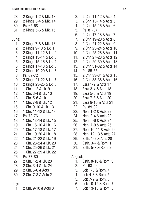28. 2 Kings 1-2 & Mk. 13 29. 2 Kings 3-4 & Mk. 14 30. Ps. 65-68 31. 2 Kings 5-6 & Mk. 15 June: 1. 2 Kings 7-8 & Mk. 16 2. 2 Kings 9-10 & Lk. 1 3. 2 Kings 11-12 & Lk. 2 4. 2 Kings 13-14 & Lk. 3 5. 2 Kings 15-16 & Lk. 4 6. 2 Kings 17-18 & Lk. 5 7. 2 Kings 19-20 & Lk. 6 8. Ps. 69-72 9. 2 Kings 21-22 & Lk. 7 10. 2 Kings 23-25 & Lk. 8 11. 1 Chr. 1-2 & Lk. 9 12. 1 Chr. 3-4 & Lk. 10<br>13. 1 Chr. 5-6 & Lk. 11 1 Chr. 5-6 & Lk. 11 14. 1 Chr. 7-8 & Lk. 12 15. 1 Chr. 9-10 & Lk. 13 16. 1 Chr. 11-12 & Lk. 14 17. Ps. 73-76 18. 1 Chr. 13-14 & Lk. 15 19. 1 Chr. 15-16 & Lk. 16 20. 1 Chr. 17-18 & Lk. 17 21. 1 Chr. 19-20 & Lk. 18 22. 1 Chr. 21-22 & Lk. 19 23. 1 Chr. 23-24 & Lk. 20 24. 1 Chr. 25-26 & Lk. 21 25. 1 Chr. 27-29 & Lk. 22 26. Ps. 77-80 27. 2 Chr. 1-2 & Lk. 23 28. 2 Chr. 3-4 & Lk. 24 29. 2 Chr. 5-6 & Acts 1 30. 2 Chr. 7-8 & Acts 2

#### July:

 1. 2 Chr. 9-10 & Acts 3

 2. 2 Chr. 11-12 & Acts 4 3. 2 Chr. 13-14 & Acts 5 4. 2 Chr. 15-16 & Acts 6 5. Ps. 81-84 6. 2 Chr. 17-18 & Acts 7 7. 2 Chr. 19-20 & Acts 8 8. 2 Chr. 21-22 & Acts 9 9. 2 Chr. 23-24 & Acts 10 10. 2 Chr. 25-26 & Acts 11 11. 2 Chr. 27-28 & Acts 12 12. 2 Chr. 29-30 & Acts 13 13. 2 Chr. 31-32 & Acts 14 14. Ps. 85-88 15. 2 Chr. 33-34 & Acts 15 16. 2 Chr. 35-36 & Acts 16 17. Ezra 1-2 & Acts 17 18. Ezra 3-4 & Acts 18 19. Ezra 5-6 & Acts 19<br>20. Ezra 7-8 & Acts 20 Ezra 7-8 & Acts 20 21. Ezra 9-10 & Acts 21 22. Ps. 89-92 23. Neh. 1-2 & Acts 22 24. Neh. 3-4 & Acts 23 25. Neh. 5-6 & Acts 24 26. Neh. 7-9 & Acts 25 27. Neh. 10-11 & Acts 26 28. Neh. 12-13 & Acts 27 29. Esth. 1-2 & Acts 28 30. Esth. 3-4 & Rom. 1<br>31. Esth. 5-7 & Rom. 2 Esth. 5-7 & Rom. 2

#### August:

- 1. Esth. 8-10 & Rom. 3
- 2. Ps. 93-96
- 3. Job 1-3 & Rom. 4
- 4. Job 4-6 & Rom. 5
- 5. Job 7-9 & Rom. 6
- 6. Job 10-12 & Rom. 7
- 7. Job 13-15 & Rom. 8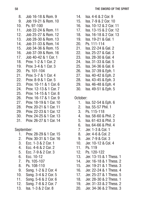| 8.         | Job 16-18 & Rom. 9      |  |
|------------|-------------------------|--|
| 9.         | Job 19-21 & Rom. 10     |  |
| 10.        | Ps. 97-100              |  |
| 11.        | Job 22-24 & Rom, 11     |  |
| 12.        | Job 25-27 & Rom, 12     |  |
| 13.        | Job 28-30 & Rom. 13     |  |
| 14.        | Job 31-33 & Rom. 14     |  |
| 15.        | Job 34-36 & Rom. 15     |  |
| 16.        | Job 37-39 & Rom, 16     |  |
| 17.        | Job 40-42 & 1 Cor. 1    |  |
| 18.        | Prov. 1-2 & 1 Cor. 2    |  |
| 19.        | Prov. 3-4 & 1 Cor. 3    |  |
| 20.        | Ps. 101-104             |  |
| 21.        | Prov. 5-7 & 1 Cor. 4    |  |
| 22.        | Prov. 8-9 & 1 Cor. 5    |  |
| 23.        | Prov. 10-11 & 1 Cor. 6  |  |
| 24.        | Prov. 12-13 & 1 Cor. 7  |  |
| 25.        | Prov. 14-15 & 1 Cor. 8  |  |
| 26.        | Prov. 16-17 & 1 Cor. 9  |  |
| 27.        | Prov. 18-19 & 1 Cor. 10 |  |
| 28.        | Prov. 20-21 & 1 Cor. 11 |  |
| 29.        | Prov. 22-23 & 1 Cor. 12 |  |
| 30.        | Prov. 24-25 & 1 Cor. 13 |  |
| 31.        | Prov. 26-27 & 1 Cor. 14 |  |
| September: |                         |  |
|            |                         |  |

- 1. Prov. 28-29 & 1 Cor. 15
- 2. Prov. 30-31 & 1 Cor. 16
- 3. Ecc. 1-3 & 2 Cor. 1
- 4. Ecc. 4-6 & 2 Cor. 2
- 5. Ecc. 7-9 & 2 Cor. 3
- 6. Ecc. 10-12
- 7. Ps. 105-107
- 8. Ps. 108-110
- 9. Song. 1-2 & 2 Cor. 4
- 10. Song. 3-4 & 2 Cor. 5
- 11. Song. 5-6 & 2 Cor. 6
- 12. Song. 7-8 & 2 Cor. 7
- 13. Isa. 1-3 & 2 Cor. 8

 14. Isa. 4-6 & 2 Cor. 9 15. Isa. 7-9 & 2 Cor. 10 16. Isa. 10-12 & 2 Cor. 11 17. Isa. 13-15 & 2 Cor. 12<br>18. Isa. 16-18 & 2 Cor. 13 18. Isa. 16-18 & 2 Cor. 13<br>19. Isa. 19-21 & Gal. 1 Isa. 19-21 & Gal. 1 20. Ps. 111-114<br>21. Isa. 22-24 & 21. Isa. 22-24 & Gal. 2<br>22. Isa. 25-27 & Gal. 3 22. Isa. 25-27 & Gal. 3 23. Isa. 28-30 & Gal. 4<br>24. Isa. 31-33 & Gal. 5 24. Isa. 31-33 & Gal. 5<br>25. Isa. 34-36 & Gal. 6 25. Isa. 34-36 & Gal. 6 26. Isa. 37-39 & Eph. 1<br>27. Isa. 40-42 & Eph. 2 Isa, 40-42 & Eph. 2 28. Isa. 43-45 & Eph. 3 29. Isa. 46-48 & Eph. 4 30. Isa. 49-51 & Eph. 5

#### October:

 1. Isa. 52-54 & Eph. 6 2. Isa. 55-57 Phil. 1<br>3. Ps. 115-118 Ps. 115-118 4. Isa. 58-60 & Phil. 2 5. Isa. 61-63 & Phil. 3 6. Isa. 64-66 & Phil. 4 7. Jer. 1-3 & Col. 1 8. Jer. 4-6 & Col. 2 9. Jer. 7-9 & Col. 3 10. Jer. 10-12 & Col. 4 11. Ps. 119 12. Ps. 120-122 13. Jer. 13-15 & 1 Thess. 1<br>14. Jer. 16-18 & 1 Thess. 2 Jer. 16-18 & 1 Thess. 2 15. Jer. 19-21 & 1 Thess. 3 16. Jer. 22-24 & 1 Thess. 4 17. Jer. 25-27 & 1 Thess. 5 18. Jer. 28-30 & 2 Thess. 1 19. Jer. 31-33 & 2 Thess. 2 20. Jer. 34-36 & 2 Thess. 3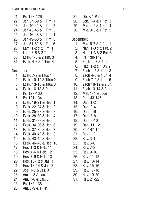| 21.       | Ps. 123-126                                    |
|-----------|------------------------------------------------|
| 22.       |                                                |
| 23.       | Jer. 37-39 & 1 Tim. 1<br>Jer. 40-42 & 1 Tim. 2 |
| 24.       | Jer. 43-45 & 1 Tim. 3                          |
| 25.       | Jer. 46-48 & 1 Tim. 4                          |
| 26.       | Jer. 49-50 & 1 Tim. 5                          |
| 27.       | Jer. 51-52 & 1 Tim. 6                          |
| 28.       | Lam. 1-2 & 2 Tim. 1                            |
| 29.       | Lam. 3-5 & 2 Tim. 2                            |
| 30.       | Ezek. 1-3 & 2 Tim. 3                           |
| 31.       | Ezek. 4-6 & 2 Tim. 4                           |
| November: |                                                |
| 1.        | Ezek. 7-9 & Titus 1                            |
| 2.        |                                                |
| 3.        | Ezek. 10-12 & Titus 2<br>Ezek. 13-15 & Titus 3 |
| 4.        | Ezek. 16-18 & Phil.                            |
| 5.        | Ps. 127-130                                    |
| 6.        | Ps. 131-134                                    |
| 7.        | Ezek. 19-21 & Heb. 1                           |
| 8.        | Ezek. 22-24 & Heb. 2                           |
| 9.        | Ezek. 25-27 & Heb. 3                           |
| 10.       | Ezek. 28-30 & Heb. 4                           |
| 11.       | Ezek. 31-33 & Heb. 5                           |
| 12.       | Ezek. 34-36 & Heb. 6                           |
| 13.       | Ezek. 37-39 & Heb. 7                           |
| 14.       | Ezek. 40-42 & Heb. 8                           |
| 15.       | Ezek. 43-45 & Heb. 9                           |
| 16.       | Ezek. 46-48 & Heb. 10                          |
| 17.       | Hos. 1-3 & Heb. 11                             |
| 18.       | Hos. 4-6 & Heb. 12                             |
| 19.       | Hos. 7-9 & Heb. 13                             |
| 20.       | Hos. 10-12 & Jas. 1                            |
| 21.       | Hos. 13-14 & Jas. 2                            |
| 22.       | Joel 1-3 & Jas. 3                              |
| 23.       | Am. 1-3 & Jas. 4                               |
| 24.       | Am. 4-6 & Jas. 5                               |
| 25.       | Ps. 135-138                                    |
| 26.       | Am. 7-9 & 1 Pet. 1                             |

| 27. | 0b. & 1 Pet. 2      |
|-----|---------------------|
| 28. | Jon. 1-4 & 1 Pet. 3 |
| 29. | Mic. 1-2 & 1 Pet. 4 |
| 30. | Mic. 3-5 & 1 Pet. 5 |

#### December:

- 1. Mic. 6-7 & 2 Pet. 1
- 2. Nah. 1-3 & 2 Pet. 2
- 3. Hab. 1-3 & 2 Pet. 3
- 4. Ps. 139-142
- 5. Zeph. 1-3 & 1 Jn. 1
- 6. Hag. 1-2 & 1 Jn. 2
- 7. Zech 1-3 & 1 Jn. 3
- 8. Zech 4-6 & 1 Jn. 4
- 9. Zech 7-9 & 1 Jn. 5<br>10. Zech 10-12 & 2 Jn.
- Zech 10-12 & 2 Jn.
- 11. Zech 13-14 & 3 Jn.
- 12. Mal. 1-4 & Jude<br>13. Ps. 143-146
- Ps. 143-146
- 14. Dan. 1-2
- 15. Dan. 3-4<br>16. Dan. 5-6
- Dan. 5-6
- 17. Dan. 7-8
- 18. Dan. 9-10<br>19. Dan. 11-1:
- Dan. 11-12
- 20. Ps. 147-150
- 21. Rev. 1-2
- 22. Rev. 3-4
- 23. Rev. 5-6
- 24. Rev. 7-8
- 25. Rev. 9-10
- 26. Rev. 11-12<br>27. Rev. 13-14
- Rev. 13-14
- 28. Rev. 15-16
- 29. Rev. 17-18
- 30. Rev. 19-20
- 31. Rev. 21-22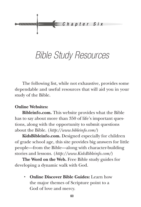*C h a p t e r S i x* $\equiv$ v $\gamma\gamma\gamma\gamma\gamma\gamma$ 

# *Bible Study Resources*

The following list, while not exhaustive, provides some dependable and useful resources that will aid you in your study of the Bible.

## **Online Websites:**

**Bibleinfo.com.** This website provides what the Bible has to say about more than 350 of life's important questions, along with the opportunity to submit questions about the Bible. (*http://www.bibleinfo.com/*)

**KidsBibleinfo.com.** Designed especially for children of grade school age, this site provides big answers for little people—from the Bible—along with character-building stories and lessons. (*http://www.KidsBibleinfo.com/*)

**The Word on the Web.** Free Bible study guides for developing a dynamic walk with God.

**Online Discover Bible Guides:** Learn how • the major themes of Scripture point to a God of love and mercy.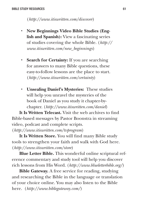## (*http://www.itiswritten.com/discover*)

- **New Beginnings Video Bible Studies (Eng- lish and Spanish):** View a fascinating series of studies covering the whole Bible. (*http:// www.itiswritten.com/new\_beginnings*)
- **Search for Certainty:** If you are searching for answers to many Bible questions, these easy-to-follow lessons are the place to start. (*http://www.itiswritten.com/certainty*)
- **Unsealing Daniel's Mysteries:** These studies •will help you unravel the mysteries of the book of Daniel as you study it chapter-bychapter. (*http://www.itiswritten.com/daniel*)

**It Is Written Telecast.** Visit the web archives to find Bible-based messages by Pastor Boonstra in streaming video, podcast and complete scripts. (*http://www.itiswritten.com/tvprogram*)

**It Is Written Store.** You will find many Bible study tools to strengthen your faith and walk with God here. (*http://www.itiswritten.com/store*)

**Blue Letter Bible.** This wonderful online scriptural reference commentary and study tool will help you discover rich lessons from His Word. (*http://www.blueletterbible.org/*)

**Bible Gateway.** A free service for reading, studying and researching the Bible in the language or translation of your choice online. You may also listen to the Bible here. (*http://www.biblegateway.com/*)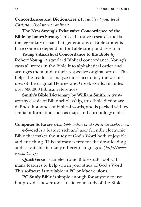**Concordances and Dictionaries** *(Available at your local Christian Bookstore or online):*

**The New Strong's Exhaustive Concordance of the Bible by James Strong.** This exhaustive research tool is the legendary classic that generations of Bible students have come to depend on for Bible study and research.

**Young's Analytical Concordance to the Bible by Robert Young.** A standard Biblical concordance, Young's casts all words in the Bible into alphabetical order and arranges them under their respective original words. This helps the reader to analyze more accurately the various uses of the original Hebrew and Greek words. Includes over 300,000 biblical references.

**Smith's Bible Dictionary by William Smith.** A trustworthy classic of Bible scholarship, this Bible dictionary defines thousands of biblical words, and is packed with essential information such as maps and chronology tables.

## **Computer Software** *(Available online or at Christian bookstores):*

**e-Sword** is a feature rich and user friendly electronic Bible that makes the study of God's Word both enjoyable and enriching. This software is free for the downloading and is available in many different languages. (*http://www. e-sword.net/*)

**QuickVerse** is an electronic Bible study tool with many features to help you in your study of God's Word. This software is available in PC or Mac versions.

**PC Study Bible** is simple enough for anyone to use, but provides power tools to aid your study of the Bible.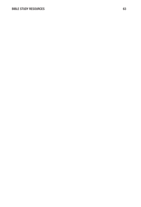#### BIBLE STUDY RESOURCES 63